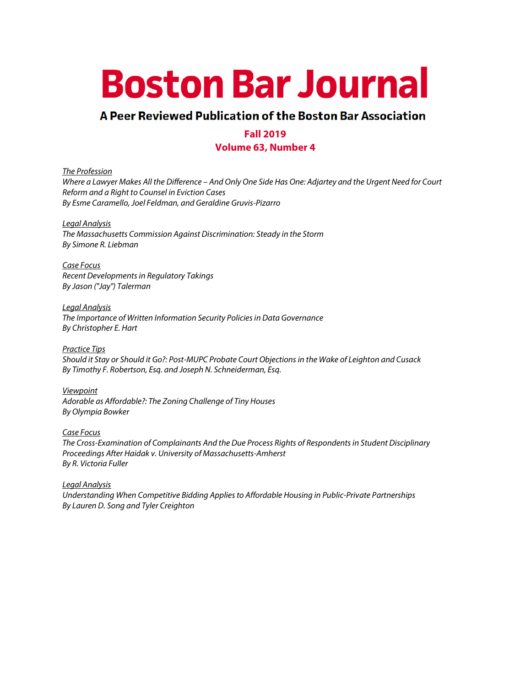# **Boston Bar Journal**

## A Peer Reviewed Publication of the Boston Bar Association

## **Fall 2019**

#### **Volume 63, Number 4**

*The Profession*

*Where a Lawyer Makes All the Difference – And Only One Side Has One: Adjartey and the Urgent Need for Court Reform and a Right to Counsel in Eviction Cases By Esme Caramello, Joel Feldman, and Geraldine Gruvis-Pizarro*

*Legal Analysis*

*The Massachusetts Commission Against Discrimination: Steady in the Storm By Simone R. Liebman*

*Case Focus Recent Developments in Regulatory Takings By Jason ("Jay") Talerman*

*Legal Analysis The Importance of Written Information Security Policies in Data Governance By Christopher E. Hart*

*Practice Tips Should it Stay or Should it Go?: Post-MUPC Probate Court Objections in the Wake of Leighton and Cusack By Timothy F. Robertson, Esq. and Joseph N. Schneiderman, Esq.*

*Viewpoint Adorable as Affordable?: The Zoning Challenge of Tiny Houses By Olympia Bowker*

*Case Focus The Cross-Examination of Complainants And the Due Process Rights of Respondents in Student Disciplinary Proceedings After Haidak v. University of Massachusetts-Amherst By R. Victoria Fuller*

*Legal Analysis Understanding When Competitive Bidding Applies to Affordable Housing in Public-Private Partnerships By Lauren D. Song and Tyler Creighton*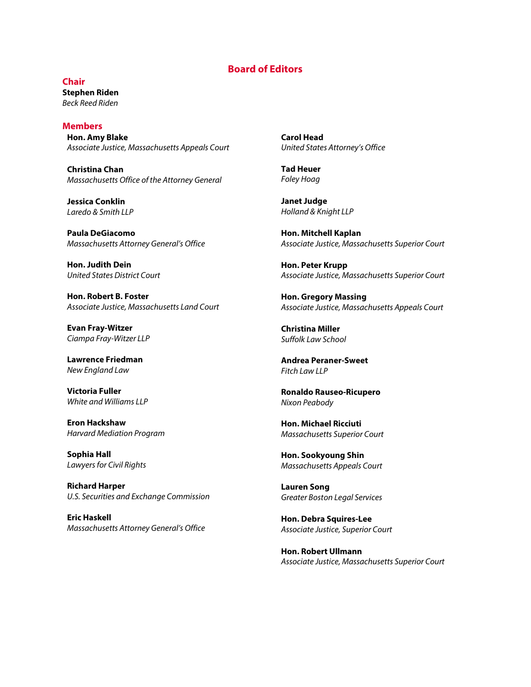#### **Board of Editors**

**Chair Stephen Riden** *Beck Reed Riden*

**Members Hon. Amy Blake** *Associate Justice, Massachusetts Appeals Court*

**Christina Chan** *Massachusetts Office of the Attorney General*

**Jessica Conklin** *Laredo & Smith LLP*

**Paula DeGiacomo** *Massachusetts Attorney General's Office*

**Hon. Judith Dein** *United States District Court*

**Hon. Robert B. Foster** *Associate Justice, Massachusetts Land Court*

**Evan Fray-Witzer** *Ciampa Fray-Witzer LLP*

**Lawrence Friedman** *New England Law*

**Victoria Fuller** *White and Williams LLP*

**Eron Hackshaw** *Harvard Mediation Program*

**Sophia Hall** *Lawyers for Civil Rights*

**Richard Harper**  *U.S. Securities and Exchange Commission* 

**Eric Haskell** *Massachusetts Attorney General's Office* **Carol Head** *United States Attorney's Office*

**Tad Heuer** *Foley Hoag*

**Janet Judge** *Holland & Knight LLP*

**Hon. Mitchell Kaplan** *Associate Justice, Massachusetts Superior Court*

**Hon. Peter Krupp** *Associate Justice, Massachusetts Superior Court*

**Hon. Gregory Massing** *Associate Justice, Massachusetts Appeals Court*

**Christina Miller** *Suffolk Law School*

**Andrea Peraner-Sweet** *Fitch Law LLP*

**Ronaldo Rauseo-Ricupero** *Nixon Peabody*

**Hon. Michael Ricciuti** *Massachusetts Superior Court*

**Hon. Sookyoung Shin** *Massachusetts Appeals Court*

**Lauren Song** *Greater Boston Legal Services*

**Hon. Debra Squires-Lee** *Associate Justice, Superior Court*

**Hon. Robert Ullmann** *Associate Justice, Massachusetts Superior Court*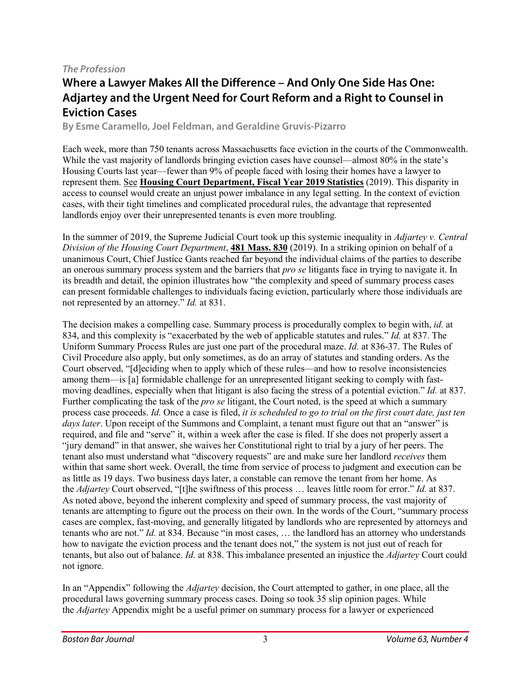#### *The Profession*

# **Where a Lawyer Makes All the Difference – And Only One Side Has One: Adjartey and the Urgent Need for Court Reform and a Right to Counsel in Eviction Cases**

**By Esme Caramello, Joel Feldman, and Geraldine Gruvis-Pizarro**

Each week, more than 750 tenants across Massachusetts face eviction in the courts of the Commonwealth. While the vast majority of landlords bringing eviction cases have counsel—almost 80% in the state's Housing Courts last year—fewer than 9% of people faced with losing their homes have a lawyer to represent them. See **Housing Court [Department,](https://1.next.westlaw.com/Document/I5634c0a05ba511e99c53cd2c0b882f4b/View/FullText.html?transitionType=UniqueDocItem&contextData=(sc.Keycite)&userEnteredCitation=481+Mass.+830https://www.mass.gov/files/documents/2019/10/04/jud-hc-2019-housing-court-self-represented-represented-litigants-by-court-location-fy2019.pdf) Fiscal Year 2019 Statistics** (2019). This disparity in access to counsel would create an unjust power imbalance in any legal setting. In the context of eviction cases, with their tight timelines and complicated procedural rules, the advantage that represented landlords enjoy over their unrepresented tenants is even more troubling.

In the summer of 2019, the Supreme Judicial Court took up this systemic inequality in *Adjartey v. Central Division of the Housing Court Department*, **481 [Mass.](https://www.mass.gov/files/documents/2019/04/10/12380.pdf) 830** (2019). In a striking opinion on behalf of a unanimous Court, Chief Justice Gants reached far beyond the individual claims of the parties to describe an onerous summary process system and the barriers that *pro se* litigants face in trying to navigate it. In its breadth and detail, the opinion illustrates how "the complexity and speed of summary process cases can present formidable challenges to individuals facing eviction, particularly where those individuals are not represented by an attorney." *Id.* at 831.

The decision makes a compelling case. Summary process is procedurally complex to begin with, *id.* at 834, and this complexity is "exacerbated by the web of applicable statutes and rules." *Id.* at 837. The Uniform Summary Process Rules are just one part of the procedural maze. *Id.* at 836-37. The Rules of Civil Procedure also apply, but only sometimes, as do an array of statutes and standing orders. As the Court observed, "[d]eciding when to apply which of these rules—and how to resolve inconsistencies among them—is [a] formidable challenge for an unrepresented litigant seeking to comply with fastmoving deadlines, especially when that litigant is also facing the stress of a potential eviction." *Id.* at 837. Further complicating the task of the *pro se* litigant, the Court noted, is the speed at which a summary process case proceeds. *Id.* Once a case is filed, *it is scheduled to go to trial on the first court date, just ten days later*. Upon receipt of the Summons and Complaint, a tenant must figure out that an "answer" is required, and file and "serve" it, within a week after the case is filed. If she does not properly assert a "jury demand" in that answer, she waives her Constitutional right to trial by a jury of her peers. The tenant also must understand what "discovery requests" are and make sure her landlord *receives* them within that same short week. Overall, the time from service of process to judgment and execution can be as little as 19 days. Two business days later, a constable can remove the tenant from her home. As the *Adjartey* Court observed, "[t]he swiftness of this process … leaves little room for error." *Id.* at 837. As noted above, beyond the inherent complexity and speed of summary process, the vast majority of tenants are attempting to figure out the process on their own. In the words of the Court, "summary process cases are complex, fast-moving, and generally litigated by landlords who are represented by attorneys and tenants who are not." *Id.* at 834. Because "in most cases, … the landlord has an attorney who understands how to navigate the eviction process and the tenant does not," the system is not just out of reach for tenants, but also out of balance. *Id.* at 838. This imbalance presented an injustice the *Adjartey* Court could not ignore.

In an "Appendix" following the *Adjartey* decision, the Court attempted to gather, in one place, all the procedural laws governing summary process cases. Doing so took 35 slip opinion pages. While the *Adjartey* Appendix might be a useful primer on summary process for a lawyer or experienced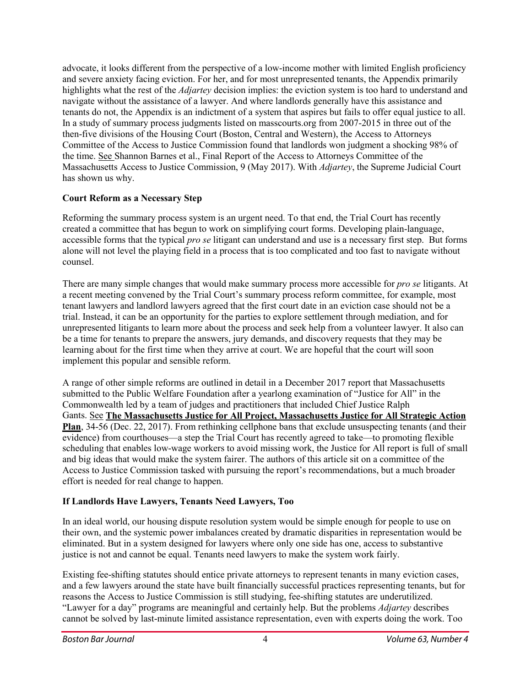advocate, it looks different from the perspective of a low-income mother with limited English proficiency and severe anxiety facing eviction. For her, and for most unrepresented tenants, the Appendix primarily highlights what the rest of the *Adjartey* decision implies: the eviction system is too hard to understand and navigate without the assistance of a lawyer. And where landlords generally have this assistance and tenants do not, the Appendix is an indictment of a system that aspires but fails to offer equal justice to all. In a study of summary process judgments listed on masscourts.org from 2007-2015 in three out of the then-five divisions of the Housing Court (Boston, Central and Western), the Access to Attorneys Committee of the Access to Justice Commission found that landlords won judgment a shocking 98% of the time. See Shannon Barnes et al., Final Report of the Access to Attorneys Committee of the Massachusetts Access to Justice Commission, 9 (May 2017). With *Adjartey*, the Supreme Judicial Court has shown us why.

#### **Court Reform as a Necessary Step**

Reforming the summary process system is an urgent need. To that end, the Trial Court has recently created a committee that has begun to work on simplifying court forms. Developing plain-language, accessible forms that the typical *pro se* litigant can understand and use is a necessary first step. But forms alone will not level the playing field in a process that is too complicated and too fast to navigate without counsel.

There are many simple changes that would make summary process more accessible for *pro se* litigants. At a recent meeting convened by the Trial Court's summary process reform committee, for example, most tenant lawyers and landlord lawyers agreed that the first court date in an eviction case should not be a trial. Instead, it can be an opportunity for the parties to explore settlement through mediation, and for unrepresented litigants to learn more about the process and seek help from a volunteer lawyer. It also can be a time for tenants to prepare the answers, jury demands, and discovery requests that they may be learning about for the first time when they arrive at court. We are hopeful that the court will soon implement this popular and sensible reform.

A range of other simple reforms are outlined in detail in a December 2017 report that Massachusetts submitted to the Public Welfare Foundation after a yearlong examination of "Justice for All" in the Commonwealth led by a team of judges and practitioners that included Chief Justice Ralph Gants. See **The Massachusetts Justice for All Project, [Massachusetts](http://www.massa2j.org/a2j/wp-content/uploads/2018/01/Massachusetts-JFA-Strategic-Action-Plan.pdf) Justice for All Strategic Action [Plan](http://www.massa2j.org/a2j/wp-content/uploads/2018/01/Massachusetts-JFA-Strategic-Action-Plan.pdf)**, 34-56 (Dec. 22, 2017). From rethinking cellphone bans that exclude unsuspecting tenants (and their evidence) from courthouses—a step the Trial Court has recently agreed to take—to promoting flexible scheduling that enables low-wage workers to avoid missing work, the Justice for All report is full of small and big ideas that would make the system fairer. The authors of this article sit on a committee of the Access to Justice Commission tasked with pursuing the report's recommendations, but a much broader effort is needed for real change to happen.

## **If Landlords Have Lawyers, Tenants Need Lawyers, Too**

In an ideal world, our housing dispute resolution system would be simple enough for people to use on their own, and the systemic power imbalances created by dramatic disparities in representation would be eliminated. But in a system designed for lawyers where only one side has one, access to substantive justice is not and cannot be equal. Tenants need lawyers to make the system work fairly.

Existing fee-shifting statutes should entice private attorneys to represent tenants in many eviction cases, and a few lawyers around the state have built financially successful practices representing tenants, but for reasons the Access to Justice Commission is still studying, fee-shifting statutes are underutilized. "Lawyer for a day" programs are meaningful and certainly help. But the problems *Adjartey* describes cannot be solved by last-minute limited assistance representation, even with experts doing the work. Too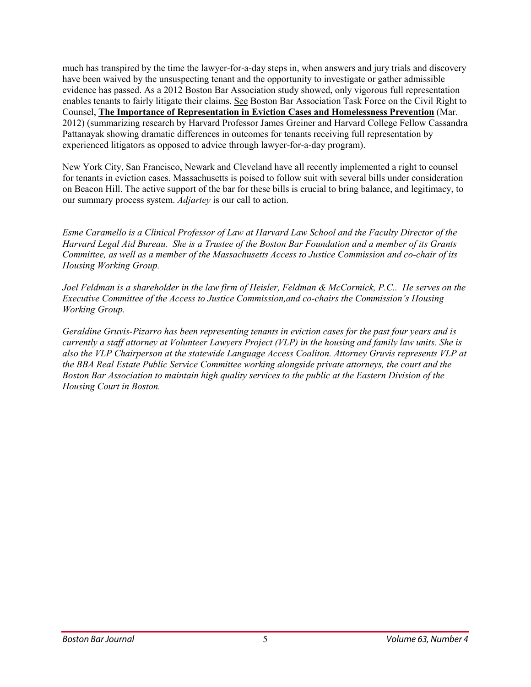much has transpired by the time the lawyer-for-a-day steps in, when answers and jury trials and discovery have been waived by the unsuspecting tenant and the opportunity to investigate or gather admissible evidence has passed. As a 2012 Boston Bar Association study showed, only vigorous full representation enables tenants to fairly litigate their claims. See Boston Bar Association Task Force on the Civil Right to Counsel, **The Importance of [Representation](http://www.bostonbar.org/docs/default-document-library/bba-crtc-final-3-1-12.pdf) in Eviction Cases and Homelessness Prevention** (Mar. 2012) (summarizing research by Harvard Professor James Greiner and Harvard College Fellow Cassandra Pattanayak showing dramatic differences in outcomes for tenants receiving full representation by experienced litigators as opposed to advice through lawyer-for-a-day program).

New York City, San Francisco, Newark and Cleveland have all recently implemented a right to counsel for tenants in eviction cases. Massachusetts is poised to follow suit with several bills under consideration on Beacon Hill. The active support of the bar for these bills is crucial to bring balance, and legitimacy, to our summary process system. *Adjartey* is our call to action.

Esme Caramello is a Clinical Professor of Law at Harvard Law School and the Faculty Director of the Harvard Legal Aid Bureau. She is a Trustee of the Boston Bar Foundation and a member of its Grants *Committee, as well as a member of the Massachusetts Access to Justice Commission and co-chair of its Housing Working Group.*

Joel Feldman is a shareholder in the law firm of Heisler, Feldman & McCormick, P.C.. He serves on the *Executive Committee of the Access to Justice Commission,and co-chairs the Commission's Housing Working Group.*

*Geraldine Gruvis-Pizarro has been representing tenants in eviction cases for the past four years and is* currently a staff attorney at Volunteer Lawyers Project (VLP) in the housing and family law units. She is *also the VLP Chairperson at the statewide Language Access Coaliton. Attorney Gruvis represents VLP at the BBA Real Estate Public Service Committee working alongside private attorneys, the court and the Boston Bar Association to maintain high quality services to the public at the Eastern Division of the Housing Court in Boston.*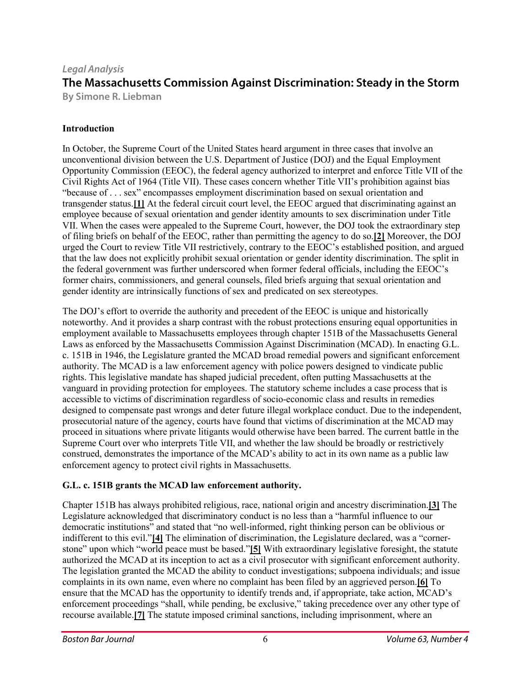# *Legal Analysis* **The Massachusetts Commission Against Discrimination: Steady in the Storm By Simone R. Liebman**

#### **Introduction**

In October, the Supreme Court of the United States heard argument in three cases that involve an unconventional division between the U.S. Department of Justice (DOJ) and the Equal Employment Opportunity Commission (EEOC), the federal agency authorized to interpret and enforce Title VII of the Civil Rights Act of 1964 (Title VII). These cases concern whether Title VII's prohibition against bias "because of . . . sex" encompasses employment discrimination based on sexual orientation and transgender status.**[\[1\]](https://bostonbarjournal.com/2019/11/14/the-massachusetts-commission-against-discrimination-steady-in-the-storm/#_edn1)** At the federal circuit court level, the EEOC argued that discriminating against an employee because of sexual orientation and gender identity amounts to sex discrimination under Title VII. When the cases were appealed to the Supreme Court, however, the DOJ took the extraordinary step of filing briefs on behalf of the EEOC, rather than permitting the agency to do so.**[\[2\]](https://bostonbarjournal.com/2019/11/14/the-massachusetts-commission-against-discrimination-steady-in-the-storm/#_edn2)** Moreover, the DOJ urged the Court to review Title VII restrictively, contrary to the EEOC's established position, and argued that the law does not explicitly prohibit sexual orientation or gender identity discrimination. The split in the federal government was further underscored when former federal officials, including the EEOC's former chairs, commissioners, and general counsels, filed briefs arguing that sexual orientation and gender identity are intrinsically functions of sex and predicated on sex stereotypes.

The DOJ's effort to override the authority and precedent of the EEOC is unique and historically noteworthy. And it provides a sharp contrast with the robust protections ensuring equal opportunities in employment available to Massachusetts employees through chapter 151B of the Massachusetts General Laws as enforced by the Massachusetts Commission Against Discrimination (MCAD). In enacting G.L. c. 151B in 1946, the Legislature granted the MCAD broad remedial powers and significant enforcement authority. The MCAD is a law enforcement agency with police powers designed to vindicate public rights. This legislative mandate has shaped judicial precedent, often putting Massachusetts at the vanguard in providing protection for employees. The statutory scheme includes a case process that is accessible to victims of discrimination regardless of socio-economic class and results in remedies designed to compensate past wrongs and deter future illegal workplace conduct. Due to the independent, prosecutorial nature of the agency, courts have found that victims of discrimination at the MCAD may proceed in situations where private litigants would otherwise have been barred. The current battle in the Supreme Court over who interprets Title VII, and whether the law should be broadly or restrictively construed, demonstrates the importance of the MCAD's ability to act in its own name as a public law enforcement agency to protect civil rights in Massachusetts.

#### **G.L. c. 151B grants the MCAD law enforcement authority.**

Chapter 151B has always prohibited religious, race, national origin and ancestry discrimination.**[\[3\]](https://bostonbarjournal.com/2019/11/14/the-massachusetts-commission-against-discrimination-steady-in-the-storm/#_edn3)** The Legislature acknowledged that discriminatory conduct is no less than a "harmful influence to our democratic institutions" and stated that "no well-informed, right thinking person can be oblivious or indifferent to this evil."**[\[4\]](https://bostonbarjournal.com/2019/11/14/the-massachusetts-commission-against-discrimination-steady-in-the-storm/#_edn4)** The elimination of discrimination, the Legislature declared, was a "cornerstone" upon which "world peace must be based."**[\[5\]](https://bostonbarjournal.com/2019/11/14/the-massachusetts-commission-against-discrimination-steady-in-the-storm/#_edn5)** With extraordinary legislative foresight, the statute authorized the MCAD at its inception to act as a civil prosecutor with significant enforcement authority. The legislation granted the MCAD the ability to conduct investigations; subpoena individuals; and issue complaints in its own name, even where no complaint has been filed by an aggrieved person.**[\[6\]](https://bostonbarjournal.com/2019/11/14/the-massachusetts-commission-against-discrimination-steady-in-the-storm/#_edn6)** To ensure that the MCAD has the opportunity to identify trends and, if appropriate, take action, MCAD's enforcement proceedings "shall, while pending, be exclusive," taking precedence over any other type of recourse available.**[\[7\]](https://bostonbarjournal.com/2019/11/14/the-massachusetts-commission-against-discrimination-steady-in-the-storm/#_edn7)** The statute imposed criminal sanctions, including imprisonment, where an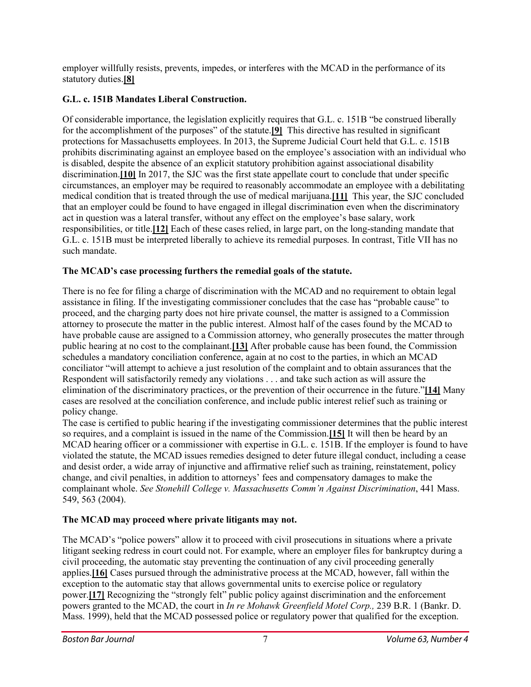employer willfully resists, prevents, impedes, or interferes with the MCAD in the performance of its statutory duties.**[\[8\]](https://bostonbarjournal.com/2019/11/14/the-massachusetts-commission-against-discrimination-steady-in-the-storm/#_edn8)**

## **G.L. c. 151B Mandates Liberal Construction.**

Of considerable importance, the legislation explicitly requires that G.L. c. 151B "be construed liberally for the accomplishment of the purposes" of the statute.**[\[9\]](https://bostonbarjournal.com/2019/11/14/the-massachusetts-commission-against-discrimination-steady-in-the-storm/#_edn9)** This directive has resulted in significant protections for Massachusetts employees. In 2013, the Supreme Judicial Court held that G.L. c. 151B prohibits discriminating against an employee based on the employee's association with an individual who is disabled, despite the absence of an explicit statutory prohibition against associational disability discrimination.**[\[10\]](https://bostonbarjournal.com/2019/11/14/the-massachusetts-commission-against-discrimination-steady-in-the-storm/#_edn10)** In 2017, the SJC was the first state appellate court to conclude that under specific circumstances, an employer may be required to reasonably accommodate an employee with a debilitating medical condition that is treated through the use of medical marijuana.**[\[11\]](https://bostonbarjournal.com/2019/11/14/the-massachusetts-commission-against-discrimination-steady-in-the-storm/#_edn11)** This year, the SJC concluded that an employer could be found to have engaged in illegal discrimination even when the discriminatory act in question was a lateral transfer, without any effect on the employee's base salary, work responsibilities, or title.**[\[12\]](https://bostonbarjournal.com/2019/11/14/the-massachusetts-commission-against-discrimination-steady-in-the-storm/#_edn12)** Each of these cases relied, in large part, on the long-standing mandate that G.L. c. 151B must be interpreted liberally to achieve its remedial purposes. In contrast, Title VII has no such mandate.

## **The MCAD's case processing furthers the remedial goals of the statute.**

There is no fee for filing a charge of discrimination with the MCAD and no requirement to obtain legal assistance in filing. If the investigating commissioner concludes that the case has "probable cause" to proceed, and the charging party does not hire private counsel, the matter is assigned to a Commission attorney to prosecute the matter in the public interest. Almost half of the cases found by the MCAD to have probable cause are assigned to a Commission attorney, who generally prosecutes the matter through public hearing at no cost to the complainant.**[\[13\]](https://bostonbarjournal.com/2019/11/14/the-massachusetts-commission-against-discrimination-steady-in-the-storm/#_edn13)** After probable cause has been found, the Commission schedules a mandatory conciliation conference, again at no cost to the parties, in which an MCAD conciliator "will attempt to achieve a just resolution of the complaint and to obtain assurances that the Respondent will satisfactorily remedy any violations . . . and take such action as will assure the elimination of the discriminatory practices, or the prevention of their occurrence in the future."**[\[14\]](https://bostonbarjournal.com/2019/11/14/the-massachusetts-commission-against-discrimination-steady-in-the-storm/#_edn14)** Many cases are resolved at the conciliation conference, and include public interest relief such as training or policy change.

The case is certified to public hearing if the investigating commissioner determines that the public interest so requires, and a complaint is issued in the name of the Commission.**[\[15\]](https://bostonbarjournal.com/2019/11/14/the-massachusetts-commission-against-discrimination-steady-in-the-storm/#_edn15)** It will then be heard by an MCAD hearing officer or a commissioner with expertise in G.L. c. 151B. If the employer is found to have violated the statute, the MCAD issues remedies designed to deter future illegal conduct, including a cease and desist order, a wide array of injunctive and affirmative relief such as training, reinstatement, policy change, and civil penalties, in addition to attorneys' fees and compensatory damages to make the complainant whole. *See Stonehill College v. Massachusetts Comm'n Against Discrimination*, 441 Mass. 549, 563 (2004).

## **The MCAD may proceed where private litigants may not.**

The MCAD's "police powers" allow it to proceed with civil prosecutions in situations where a private litigant seeking redress in court could not. For example, where an employer files for bankruptcy during a civil proceeding, the automatic stay preventing the continuation of any civil proceeding generally applies.**[\[16\]](https://bostonbarjournal.com/2019/11/14/the-massachusetts-commission-against-discrimination-steady-in-the-storm/#_edn16)** Cases pursued through the administrative process at the MCAD, however, fall within the exception to the automatic stay that allows governmental units to exercise police or regulatory power.**[\[17\]](https://bostonbarjournal.com/2019/11/14/the-massachusetts-commission-against-discrimination-steady-in-the-storm/#_edn17)** Recognizing the "strongly felt" public policy against discrimination and the enforcement powers granted to the MCAD, the court in *In re Mohawk Greenfield Motel Corp.,* 239 B.R. 1 (Bankr. D. Mass. 1999), held that the MCAD possessed police or regulatory power that qualified for the exception.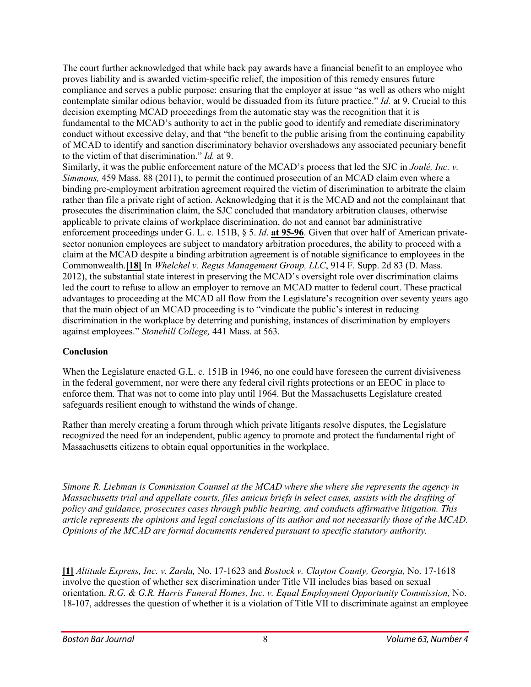The court further acknowledged that while back pay awards have a financial benefit to an employee who proves liability and is awarded victim-specific relief, the imposition of this remedy ensures future compliance and serves a public purpose: ensuring that the employer at issue "as well as others who might contemplate similar odious behavior, would be dissuaded from its future practice." *Id.* at 9. Crucial to this decision exempting MCAD proceedings from the automatic stay was the recognition that it is fundamental to the MCAD's authority to act in the public good to identify and remediate discriminatory conduct without excessive delay, and that "the benefit to the public arising from the continuing capability of MCAD to identify and sanction discriminatory behavior overshadows any associated pecuniary benefit to the victim of that discrimination." *Id.* at 9.

Similarly, it was the public enforcement nature of the MCAD's process that led the SJC in *Joulé, Inc. v. Simmons,* 459 Mass. 88 (2011), to permit the continued prosecution of an MCAD claim even where a binding pre-employment arbitration agreement required the victim of discrimination to arbitrate the claim rather than file a private right of action. Acknowledging that it is the MCAD and not the complainant that prosecutes the discrimination claim, the SJC concluded that mandatory arbitration clauses, otherwise applicable to private claims of workplace discrimination, do not and cannot bar administrative enforcement proceedings under G. L. c. 151B, § 5. *Id*. **at [95-96](https://1.next.westlaw.com/Link/Document/FullText?findType=Y&serNum=2024749720&pubNum=0000521&originatingDoc=If16a0980e5e411e490d4edf60ce7d742&refType=RP&fi=co_pp_sp_521_89&originationContext=document&transitionType=DocumentItem&contextData=(sc.Search)#co_pp_sp_521_89)**. Given that over half of American privatesector nonunion employees are subject to mandatory arbitration procedures, the ability to proceed with a claim at the MCAD despite a binding arbitration agreement is of notable significance to employees in the Commonwealth.**[\[18\]](https://bostonbarjournal.com/2019/11/14/the-massachusetts-commission-against-discrimination-steady-in-the-storm/#_edn18)** In *Whelchel v. Regus Management Group, LLC*, 914 F. Supp. 2d 83 (D. Mass. 2012), the substantial state interest in preserving the MCAD's oversight role over discrimination claims led the court to refuse to allow an employer to remove an MCAD matter to federal court. These practical advantages to proceeding at the MCAD all flow from the Legislature's recognition over seventy years ago that the main object of an MCAD proceeding is to "vindicate the public's interest in reducing discrimination in the workplace by deterring and punishing, instances of discrimination by employers against employees." *Stonehill College,* 441 Mass. at 563.

#### **Conclusion**

When the Legislature enacted G.L. c. 151B in 1946, no one could have foreseen the current divisiveness in the federal government, nor were there any federal civil rights protections or an EEOC in place to enforce them. That was not to come into play until 1964. But the Massachusetts Legislature created safeguards resilient enough to withstand the winds of change.

Rather than merely creating a forum through which private litigants resolve disputes, the Legislature recognized the need for an independent, public agency to promote and protect the fundamental right of Massachusetts citizens to obtain equal opportunities in the workplace.

*Simone R. Liebman is Commission Counsel at the MCAD where she where she represents the agency in Massachusetts trial and appellate courts, files amicus briefs in select cases, assists with the drafting of policy and guidance, prosecutes cases through public hearing, and conducts affirmative litigation. This* article represents the opinions and legal conclusions of its author and not necessarily those of the MCAD. *Opinions of the MCAD are formal documents rendered pursuant to specific statutory authority.*

**[\[1\]](https://bostonbarjournal.com/2019/11/14/the-massachusetts-commission-against-discrimination-steady-in-the-storm/#_ednref1)** *Altitude Express, Inc. v. Zarda,* No. 17-1623 and *Bostock v. Clayton County, Georgia,* No. 17-1618 involve the question of whether sex discrimination under Title VII includes bias based on sexual orientation. *R.G. & G.R. Harris Funeral Homes, Inc. v. Equal Employment Opportunity Commission,* No. 18-107, addresses the question of whether it is a violation of Title VII to discriminate against an employee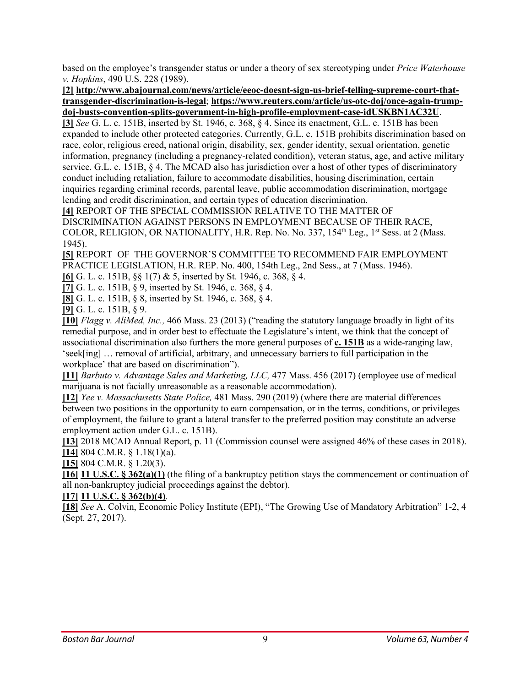based on the employee's transgender status or under a theory of sex stereotyping under *Price Waterhouse v. Hopkins*, 490 U.S. 228 (1989).

**[\[2\]](https://bostonbarjournal.com/2019/11/14/the-massachusetts-commission-against-discrimination-steady-in-the-storm/#_ednref2) [http://www.abajournal.com/news/article/eeoc-doesnt-sign-us-brief-telling-supreme-court-that](http://www.abajournal.com/news/article/eeoc-doesnt-sign-us-brief-telling-supreme-court-that-transgender-discrimination-is-legal)[transgender-discrimination-is-legal](http://www.abajournal.com/news/article/eeoc-doesnt-sign-us-brief-telling-supreme-court-that-transgender-discrimination-is-legal)**; **[https://www.reuters.com/article/us-otc-doj/once-again-trump](https://www.reuters.com/article/us-otc-doj/once-again-trump-doj-busts-convention-splits-government-in-high-profile-employment-case-idUSKBN1AC32U)[doj-busts-convention-splits-government-in-high-profile-employment-case-idUSKBN1AC32U](https://www.reuters.com/article/us-otc-doj/once-again-trump-doj-busts-convention-splits-government-in-high-profile-employment-case-idUSKBN1AC32U)**.

**[\[3\]](https://bostonbarjournal.com/2019/11/14/the-massachusetts-commission-against-discrimination-steady-in-the-storm/#_ednref3)** *See* G. L. c. 151B, inserted by St. 1946, c. 368, § 4. Since its enactment, G.L. c. 151B has been expanded to include other protected categories. Currently, G.L. c. 151B prohibits discrimination based on race, color, religious creed, national origin, disability, sex, gender identity, sexual orientation, genetic information, pregnancy (including a pregnancy-related condition), veteran status, age, and active military service. G.L. c. 151B, § 4. The MCAD also has jurisdiction over a host of other types of discriminatory conduct including retaliation, failure to accommodate disabilities, housing discrimination, certain inquiries regarding criminal records, parental leave, public accommodation discrimination, mortgage lending and credit discrimination, and certain types of education discrimination.

**[\[4\]](https://bostonbarjournal.com/2019/11/14/the-massachusetts-commission-against-discrimination-steady-in-the-storm/#_ednref4)** REPORT OF THE SPECIAL COMMISSION RELATIVE TO THE MATTER OF DISCRIMINATION AGAINST PERSONS IN EMPLOYMENT BECAUSE OF THEIR RACE, COLOR, RELIGION, OR NATIONALITY, H.R. Rep. No. No. 337, 154<sup>th</sup> Leg., 1<sup>st</sup> Sess. at 2 (Mass. 1945).

**[\[5\]](https://bostonbarjournal.com/2019/11/14/the-massachusetts-commission-against-discrimination-steady-in-the-storm/#_ednref5)** REPORT OF THE GOVERNOR'S COMMITTEE TO RECOMMEND FAIR EMPLOYMENT PRACTICE LEGISLATION, H.R. REP. No. 400, 154th Leg., 2nd Sess., at 7 (Mass. 1946).

**[\[6\]](https://bostonbarjournal.com/2019/11/14/the-massachusetts-commission-against-discrimination-steady-in-the-storm/#_ednref6)** G. L. c. 151B, §§ 1(7) & 5, inserted by St. 1946, c. 368, § 4.

**[\[7\]](https://bostonbarjournal.com/2019/11/14/the-massachusetts-commission-against-discrimination-steady-in-the-storm/#_ednref7)** G. L. c. 151B, § 9, inserted by St. 1946, c. 368, § 4.

**[\[8\]](https://bostonbarjournal.com/2019/11/14/the-massachusetts-commission-against-discrimination-steady-in-the-storm/#_ednref8)** G. L. c. 151B, § 8, inserted by St. 1946, c. 368, § 4.

**[\[9\]](https://bostonbarjournal.com/2019/11/14/the-massachusetts-commission-against-discrimination-steady-in-the-storm/#_ednref9)** G. L. c. 151B, § 9.

**[\[10\]](https://bostonbarjournal.com/2019/11/14/the-massachusetts-commission-against-discrimination-steady-in-the-storm/#_ednref10)** *Flagg v. AliMed, Inc.,* 466 Mass. 23 (2013) ("reading the statutory language broadly in light of its remedial purpose, and in order best to effectuate the Legislature's intent, we think that the concept of associational discrimination also furthers the more general purposes of **c. [151B](https://1.next.westlaw.com/Link/Document/FullText?findType=L&pubNum=1000042&cite=MAST151BS4&originatingDoc=Ia7eef947efe211e2a160cacff148223f&refType=LQ&originationContext=document&transitionType=DocumentItem&contextData=(sc.Search))** as a wide-ranging law, 'seek[ing] … removal of artificial, arbitrary, and unnecessary barriers to full participation in the workplace' that are based on discrimination").

**[\[11\]](https://bostonbarjournal.com/2019/11/14/the-massachusetts-commission-against-discrimination-steady-in-the-storm/#_ednref11)** *Barbuto v. Advantage Sales and Marketing, LLC,* 477 Mass. 456 (2017) (employee use of medical marijuana is not facially unreasonable as a reasonable accommodation).

**[\[12\]](https://bostonbarjournal.com/2019/11/14/the-massachusetts-commission-against-discrimination-steady-in-the-storm/#_ednref12)** *Yee v. Massachusetts State Police,* 481 Mass. 290 (2019) (where there are material differences between two positions in the opportunity to earn compensation, or in the terms, conditions, or privileges of employment, the failure to grant a lateral transfer to the preferred position may constitute an adverse employment action under G.L. c. 151B).

**[\[13\]](https://bostonbarjournal.com/2019/11/14/the-massachusetts-commission-against-discrimination-steady-in-the-storm/#_ednref13)** 2018 MCAD Annual Report, p. 11 (Commission counsel were assigned 46% of these cases in 2018). **[\[14\]](https://bostonbarjournal.com/2019/11/14/the-massachusetts-commission-against-discrimination-steady-in-the-storm/#_ednref14)** 804 C.M.R. § 1.18(1)(a).

**[\[15\]](https://bostonbarjournal.com/2019/11/14/the-massachusetts-commission-against-discrimination-steady-in-the-storm/#_ednref15)** 804 C.M.R. § 1.20(3).

**[\[16\]](https://bostonbarjournal.com/2019/11/14/the-massachusetts-commission-against-discrimination-steady-in-the-storm/#_ednref16) 11 U.S.C. § [362\(a\)\(1\)](https://1.next.westlaw.com/Link/Document/FullText?findType=L&pubNum=1000546&cite=11USCAS362&originatingDoc=I36c77eca6eb511d9bd09d9bdc1d194d4&refType=RB&originationContext=document&transitionType=DocumentItem&contextData=(sc.Search)#co_pp_6ad60000aeea7)** (the filing of a bankruptcy petition stays the commencement or continuation of all non-bankruptcy judicial proceedings against the debtor).

#### **[\[17\]](https://bostonbarjournal.com/2019/11/14/the-massachusetts-commission-against-discrimination-steady-in-the-storm/#_ednref17) 11 U.S.C. § [362\(b\)\(4\)](https://1.next.westlaw.com/Link/Document/FullText?findType=L&pubNum=1000546&cite=11USCAS362&originatingDoc=I36c77eca6eb511d9bd09d9bdc1d194d4&refType=RB&originationContext=document&transitionType=DocumentItem&contextData=(sc.Search)#co_pp_6ad60000aeea7)**.

**[\[18\]](https://bostonbarjournal.com/2019/11/14/the-massachusetts-commission-against-discrimination-steady-in-the-storm/#_ednref18)** *See* A. Colvin, Economic Policy Institute (EPI), "The Growing Use of Mandatory Arbitration" 1-2, 4 (Sept. 27, 2017).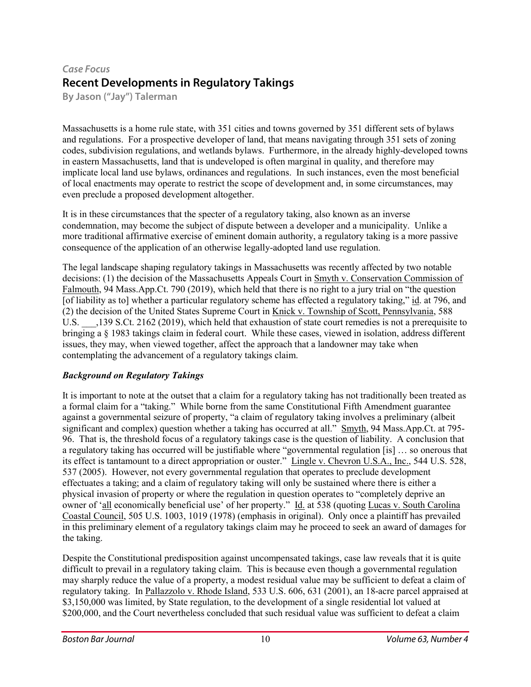# *Case Focus* **Recent Developments in Regulatory Takings**

**By Jason ("Jay") Talerman**

Massachusetts is a home rule state, with 351 cities and towns governed by 351 different sets of bylaws and regulations. For a prospective developer of land, that means navigating through 351 sets of zoning codes, subdivision regulations, and wetlands bylaws. Furthermore, in the already highly-developed towns in eastern Massachusetts, land that is undeveloped is often marginal in quality, and therefore may implicate local land use bylaws, ordinances and regulations. In such instances, even the most beneficial of local enactments may operate to restrict the scope of development and, in some circumstances, may even preclude a proposed development altogether.

It is in these circumstances that the specter of a regulatory taking, also known as an inverse condemnation, may become the subject of dispute between a developer and a municipality. Unlike a more traditional affirmative exercise of eminent domain authority, a regulatory taking is a more passive consequence of the application of an otherwise legally-adopted land use regulation.

The legal landscape shaping regulatory takings in Massachusetts was recently affected by two notable decisions: (1) the decision of the Massachusetts Appeals Court in Smyth v. Conservation Commission of Falmouth, 94 Mass.App.Ct. 790 (2019), which held that there is no right to a jury trial on "the question [of liability as to] whether a particular regulatory scheme has effected a regulatory taking," id. at 796, and (2) the decision of the United States Supreme Court in Knick v. Township of Scott, Pennsylvania, 588 U.S.  $\qquad$ , 139 S.Ct. 2162 (2019), which held that exhaustion of state court remedies is not a prerequisite to bringing a § 1983 takings claim in federal court. While these cases, viewed in isolation, address different issues, they may, when viewed together, affect the approach that a landowner may take when contemplating the advancement of a regulatory takings claim.

#### *Background on Regulatory Takings*

It is important to note at the outset that a claim for a regulatory taking has not traditionally been treated as a formal claim for a "taking." While borne from the same Constitutional Fifth Amendment guarantee against a governmental seizure of property, "a claim of regulatory taking involves a preliminary (albeit significant and complex) question whether a taking has occurred at all." Smyth, 94 Mass.App.Ct. at 795- 96. That is, the threshold focus of a regulatory takings case is the question of liability. A conclusion that a regulatory taking has occurred will be justifiable where "governmental regulation [is] … so onerous that its effect is tantamount to a direct appropriation or ouster." Lingle v. Chevron U.S.A., Inc., 544 U.S. 528, 537 (2005). However, not every governmental regulation that operates to preclude development effectuates a taking; and a claim of regulatory taking will only be sustained where there is either a physical invasion of property or where the regulation in question operates to "completely deprive an owner of 'all economically beneficial use' of her property." Id. at 538 (quoting Lucas v. South Carolina Coastal Council, 505 U.S. 1003, 1019 (1978) (emphasis in original). Only once a plaintiff has prevailed in this preliminary element of a regulatory takings claim may he proceed to seek an award of damages for the taking.

Despite the Constitutional predisposition against uncompensated takings, case law reveals that it is quite difficult to prevail in a regulatory taking claim. This is because even though a governmental regulation may sharply reduce the value of a property, a modest residual value may be sufficient to defeat a claim of regulatory taking. In Pallazzolo v. Rhode Island, 533 U.S. 606, 631 (2001), an 18-acre parcel appraised at \$3,150,000 was limited, by State regulation, to the development of a single residential lot valued at \$200,000, and the Court nevertheless concluded that such residual value was sufficient to defeat a claim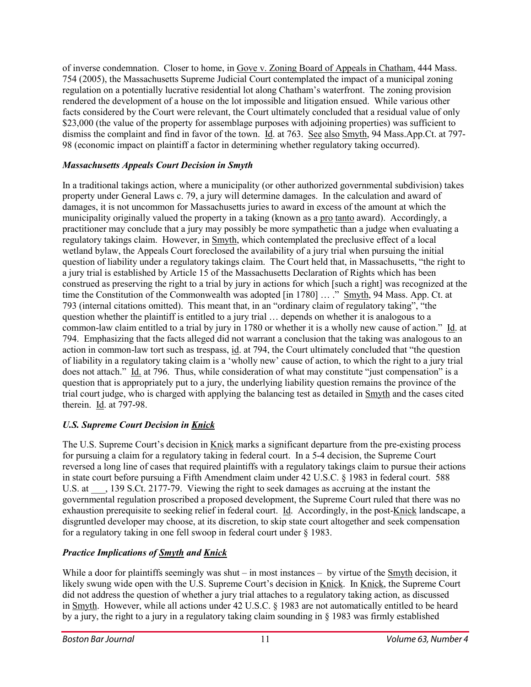of inverse condemnation. Closer to home, in Gove v. Zoning Board of Appeals in Chatham, 444 Mass. 754 (2005), the Massachusetts Supreme Judicial Court contemplated the impact of a municipal zoning regulation on a potentially lucrative residential lot along Chatham's waterfront. The zoning provision rendered the development of a house on the lot impossible and litigation ensued. While various other facts considered by the Court were relevant, the Court ultimately concluded that a residual value of only \$23,000 (the value of the property for assemblage purposes with adjoining properties) was sufficient to dismiss the complaint and find in favor of the town. Id. at 763. See also Smyth, 94 Mass.App.Ct. at 797- 98 (economic impact on plaintiff a factor in determining whether regulatory taking occurred).

#### *Massachusetts Appeals Court Decision in Smyth*

In a traditional takings action, where a municipality (or other authorized governmental subdivision) takes property under General Laws c. 79, a jury will determine damages. In the calculation and award of damages, it is not uncommon for Massachusetts juries to award in excess of the amount at which the municipality originally valued the property in a taking (known as a pro tanto award). Accordingly, a practitioner may conclude that a jury may possibly be more sympathetic than a judge when evaluating a regulatory takings claim. However, in Smyth, which contemplated the preclusive effect of a local wetland bylaw, the Appeals Court foreclosed the availability of a jury trial when pursuing the initial question of liability under a regulatory takings claim. The Court held that, in Massachusetts, "the right to a jury trial is established by Article 15 of the Massachusetts Declaration of Rights which has been construed as preserving the right to a trial by jury in actions for which [such a right] was recognized at the time the Constitution of the Commonwealth was adopted [in 1780] … ." Smyth, 94 Mass. App. Ct. at 793 (internal citations omitted). This meant that, in an "ordinary claim of regulatory taking", "the question whether the plaintiff is entitled to a jury trial … depends on whether it is analogous to a common-law claim entitled to a trial by jury in 1780 or whether it is a wholly new cause of action." Id. at 794. Emphasizing that the facts alleged did not warrant a conclusion that the taking was analogous to an action in common-law tort such as trespass, id. at 794, the Court ultimately concluded that "the question of liability in a regulatory taking claim is a 'wholly new' cause of action, to which the right to a jury trial does not attach." Id. at 796. Thus, while consideration of what may constitute "just compensation" is a question that is appropriately put to a jury, the underlying liability question remains the province of the trial court judge, who is charged with applying the balancing test as detailed in Smyth and the cases cited therein. Id. at 797-98.

## *U.S. Supreme Court Decision in Knick*

The U.S. Supreme Court's decision in Knick marks a significant departure from the pre-existing process for pursuing a claim for a regulatory taking in federal court. In a 5-4 decision, the Supreme Court reversed a long line of cases that required plaintiffs with a regulatory takings claim to pursue their actions in state court before pursuing a Fifth Amendment claim under 42 U.S.C. § 1983 in federal court. 588 U.S. at  $\qquad$ , 139 S.Ct. 2177-79. Viewing the right to seek damages as accruing at the instant the governmental regulation proscribed a proposed development, the Supreme Court ruled that there was no exhaustion prerequisite to seeking relief in federal court. Id. Accordingly, in the post-Knick landscape, a disgruntled developer may choose, at its discretion, to skip state court altogether and seek compensation for a regulatory taking in one fell swoop in federal court under § 1983.

## *Practice Implications of Smyth and Knick*

While a door for plaintiffs seemingly was shut – in most instances – by virtue of the Smyth decision, it likely swung wide open with the U.S. Supreme Court's decision in Knick. In Knick, the Supreme Court did not address the question of whether a jury trial attaches to a regulatory taking action, as discussed in Smyth. However, while all actions under 42 U.S.C. § 1983 are not automatically entitled to be heard by a jury, the right to a jury in a regulatory taking claim sounding in § 1983 was firmly established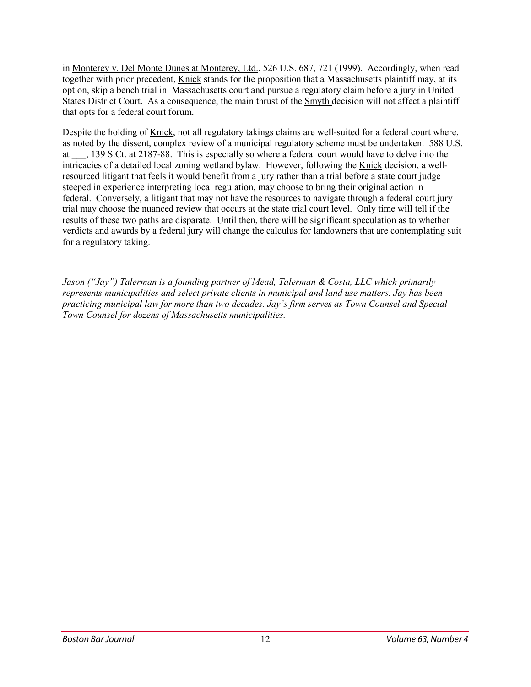in Monterey v. Del Monte Dunes at Monterey, Ltd., 526 U.S. 687, 721 (1999). Accordingly, when read together with prior precedent, Knick stands for the proposition that a Massachusetts plaintiff may, at its option, skip a bench trial in Massachusetts court and pursue a regulatory claim before a jury in United States District Court. As a consequence, the main thrust of the Smyth decision will not affect a plaintiff that opts for a federal court forum.

Despite the holding of Knick, not all regulatory takings claims are well-suited for a federal court where, as noted by the dissent, complex review of a municipal regulatory scheme must be undertaken. 588 U.S. at \_\_\_, 139 S.Ct. at 2187-88. This is especially so where a federal court would have to delve into the intricacies of a detailed local zoning wetland bylaw. However, following the Knick decision, a wellresourced litigant that feels it would benefit from a jury rather than a trial before a state court judge steeped in experience interpreting local regulation, may choose to bring their original action in federal. Conversely, a litigant that may not have the resources to navigate through a federal court jury trial may choose the nuanced review that occurs at the state trial court level. Only time will tell if the results of these two paths are disparate. Until then, there will be significant speculation as to whether verdicts and awards by a federal jury will change the calculus for landowners that are contemplating suit for a regulatory taking.

*Jason ("Jay") Talerman is a founding partner of Mead, Talerman & Costa, LLC which primarily represents municipalities and select private clients in municipal and land use matters. Jay has been practicing municipal law for more than two decades. Jay's firm serves as Town Counsel and Special Town Counsel for dozens of Massachusetts municipalities.*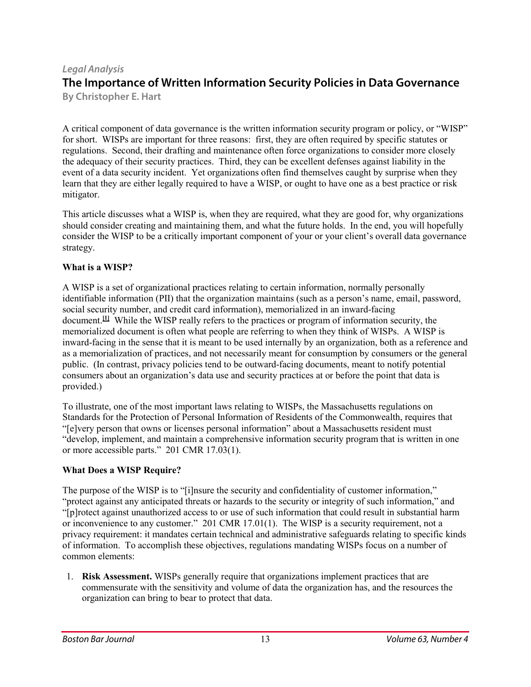#### *Legal Analysis* **The Importance of Written Information Security Policies in Data Governance By Christopher E. Hart**

A critical component of data governance is the written information security program or policy, or "WISP" for short. WISPs are important for three reasons: first, they are often required by specific statutes or regulations. Second, their drafting and maintenance often force organizations to consider more closely the adequacy of their security practices. Third, they can be excellent defenses against liability in the event of a data security incident. Yet organizations often find themselves caught by surprise when they learn that they are either legally required to have a WISP, or ought to have one as a best practice or risk mitigator.

This article discusses what a WISP is, when they are required, what they are good for, why organizations should consider creating and maintaining them, and what the future holds. In the end, you will hopefully consider the WISP to be a critically important component of your or your client's overall data governance strategy.

#### **What is a WISP?**

A WISP is a set of organizational practices relating to certain information, normally personally identifiable information (PII) that the organization maintains (such as a person's name, email, password, social security number, and credit card information), memorialized in an inward-facing document. **[\[1\]](https://bostonbarjournal.com/2019/11/14/the-importance-of-written-information-security-policies-in-data-governance/#_ftn1)** While the WISP really refers to the practices or program of information security, the memorialized document is often what people are referring to when they think of WISPs. A WISP is inward-facing in the sense that it is meant to be used internally by an organization, both as a reference and as a memorialization of practices, and not necessarily meant for consumption by consumers or the general public. (In contrast, privacy policies tend to be outward-facing documents, meant to notify potential consumers about an organization's data use and security practices at or before the point that data is provided.)

To illustrate, one of the most important laws relating to WISPs, the Massachusetts regulations on Standards for the Protection of Personal Information of Residents of the Commonwealth, requires that "[e]very person that owns or licenses personal information" about a Massachusetts resident must "develop, implement, and maintain a comprehensive information security program that is written in one or more accessible parts." 201 CMR 17.03(1).

#### **What Does a WISP Require?**

The purpose of the WISP is to "[i]nsure the security and confidentiality of customer information," "protect against any anticipated threats or hazards to the security or integrity of such information," and "[p]rotect against unauthorized access to or use of such information that could result in substantial harm or inconvenience to any customer." 201 CMR 17.01(1). The WISP is a security requirement, not a privacy requirement: it mandates certain technical and administrative safeguards relating to specific kinds of information. To accomplish these objectives, regulations mandating WISPs focus on a number of common elements:

1. **Risk Assessment.** WISPs generally require that organizations implement practices that are commensurate with the sensitivity and volume of data the organization has, and the resources the organization can bring to bear to protect that data.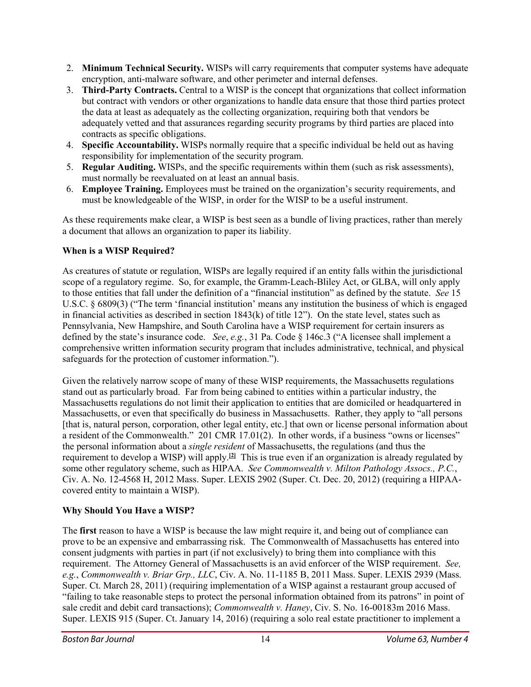- 2. **Minimum Technical Security.** WISPs will carry requirements that computer systems have adequate encryption, anti-malware software, and other perimeter and internal defenses.
- 3. **Third-Party Contracts.** Central to a WISP is the concept that organizations that collect information but contract with vendors or other organizations to handle data ensure that those third parties protect the data at least as adequately as the collecting organization, requiring both that vendors be adequately vetted and that assurances regarding security programs by third parties are placed into contracts as specific obligations.
- 4. **Specific Accountability.** WISPs normally require that a specific individual be held out as having responsibility for implementation of the security program.
- 5. **Regular Auditing.** WISPs, and the specific requirements within them (such as risk assessments), must normally be reevaluated on at least an annual basis.
- 6. **Employee Training.** Employees must be trained on the organization's security requirements, and must be knowledgeable of the WISP, in order for the WISP to be a useful instrument.

As these requirements make clear, a WISP is best seen as a bundle of living practices, rather than merely a document that allows an organization to paper its liability.

## **When is a WISP Required?**

As creatures of statute or regulation, WISPs are legally required if an entity falls within the jurisdictional scope of a regulatory regime. So, for example, the Gramm-Leach-Bliley Act, or GLBA, will only apply to those entities that fall under the definition of a "financial institution" as defined by the statute. *See* 15 U.S.C. § 6809(3) ("The term 'financial institution' means any institution the business of which is engaged in financial activities as described in section 1843(k) of title 12"). On the state level, states such as Pennsylvania, New Hampshire, and South Carolina have a WISP requirement for certain insurers as defined by the state's insurance code. *See*, *e.g.*, 31 Pa. Code § 146c.3 ("A licensee shall implement a comprehensive written information security program that includes administrative, technical, and physical safeguards for the protection of customer information.").

Given the relatively narrow scope of many of these WISP requirements, the Massachusetts regulations stand out as particularly broad. Far from being cabined to entities within a particular industry, the Massachusetts regulations do not limit their application to entities that are domiciled or headquartered in Massachusetts, or even that specifically do business in Massachusetts. Rather, they apply to "all persons [that is, natural person, corporation, other legal entity, etc.] that own or license personal information about a resident of the Commonwealth." 201 CMR 17.01(2). In other words, if a business "owns or licenses" the personal information about a *single resident* of Massachusetts, the regulations (and thus the requirement to develop a WISP) will apply. **[\[2\]](https://bostonbarjournal.com/2019/11/14/the-importance-of-written-information-security-policies-in-data-governance/#_ftn2)** This is true even if an organization is already regulated by some other regulatory scheme, such as HIPAA. *See Commonwealth v. Milton Pathology Assocs., P.C.*, Civ. A. No. 12-4568 H, 2012 Mass. Super. LEXIS 2902 (Super. Ct. Dec. 20, 2012) (requiring a HIPAAcovered entity to maintain a WISP).

## **Why Should You Have a WISP?**

The **first** reason to have a WISP is because the law might require it, and being out of compliance can prove to be an expensive and embarrassing risk. The Commonwealth of Massachusetts has entered into consent judgments with parties in part (if not exclusively) to bring them into compliance with this requirement. The Attorney General of Massachusetts is an avid enforcer of the WISP requirement. *See, e.g.*, *Commonwealth v. Briar Grp., LLC*, Civ. A. No. 11-1185 B, 2011 Mass. Super. LEXIS 2939 (Mass. Super. Ct. March 28, 2011) (requiring implementation of a WISP against a restaurant group accused of "failing to take reasonable steps to protect the personal information obtained from its patrons" in point of sale credit and debit card transactions); *Commonwealth v. Haney*, Civ. S. No. 16-00183m 2016 Mass. Super. LEXIS 915 (Super. Ct. January 14, 2016) (requiring a solo real estate practitioner to implement a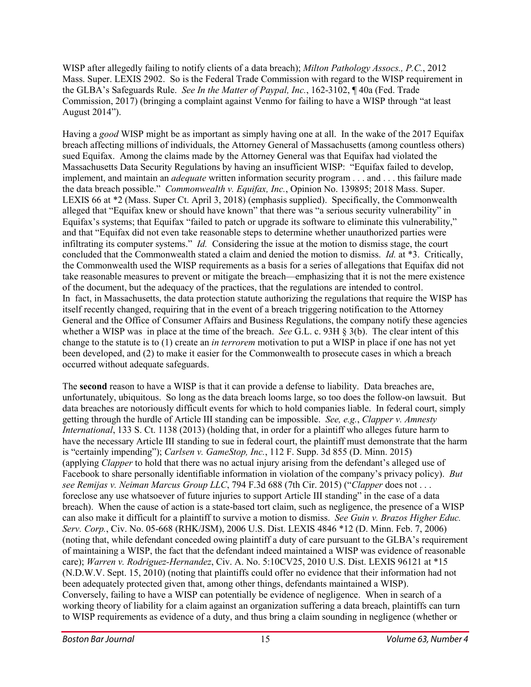WISP after allegedly failing to notify clients of a data breach); *Milton Pathology Assocs., P.C.*, 2012 Mass. Super. LEXIS 2902. So is the Federal Trade Commission with regard to the WISP requirement in the GLBA's Safeguards Rule. *See In the Matter of Paypal, Inc.*, 162-3102, ¶ 40a (Fed. Trade Commission, 2017) (bringing a complaint against Venmo for failing to have a WISP through "at least August 2014").

Having a *good* WISP might be as important as simply having one at all. In the wake of the 2017 Equifax breach affecting millions of individuals, the Attorney General of Massachusetts (among countless others) sued Equifax. Among the claims made by the Attorney General was that Equifax had violated the Massachusetts Data Security Regulations by having an insufficient WISP: "Equifax failed to develop, implement, and maintain an *adequate* written information security program . . . and . . . this failure made the data breach possible." *Commonwealth v. Equifax, Inc.*, Opinion No. 139895; 2018 Mass. Super. LEXIS 66 at \*2 (Mass. Super Ct. April 3, 2018) (emphasis supplied). Specifically, the Commonwealth alleged that "Equifax knew or should have known" that there was "a serious security vulnerability" in Equifax's systems; that Equifax "failed to patch or upgrade its software to eliminate this vulnerability," and that "Equifax did not even take reasonable steps to determine whether unauthorized parties were infiltrating its computer systems." *Id.* Considering the issue at the motion to dismiss stage, the court concluded that the Commonwealth stated a claim and denied the motion to dismiss. *Id.* at \*3. Critically, the Commonwealth used the WISP requirements as a basis for a series of allegations that Equifax did not take reasonable measures to prevent or mitigate the breach—emphasizing that it is not the mere existence of the document, but the adequacy of the practices, that the regulations are intended to control. In fact, in Massachusetts, the data protection statute authorizing the regulations that require the WISP has itself recently changed, requiring that in the event of a breach triggering notification to the Attorney General and the Office of Consumer Affairs and Business Regulations, the company notify these agencies whether a WISP was in place at the time of the breach. *See* G.L. c. 93H § 3(b). The clear intent of this change to the statute is to (1) create an *in terrorem* motivation to put a WISP in place if one has not yet been developed, and (2) to make it easier for the Commonwealth to prosecute cases in which a breach occurred without adequate safeguards.

The **second** reason to have a WISP is that it can provide a defense to liability. Data breaches are, unfortunately, ubiquitous. So long as the data breach looms large, so too does the follow-on lawsuit. But data breaches are notoriously difficult events for which to hold companies liable. In federal court, simply getting through the hurdle of Article III standing can be impossible. *See, e.g.*, *Clapper v. Amnesty International*, 133 S. Ct. 1138 (2013) (holding that, in order for a plaintiff who alleges future harm to have the necessary Article III standing to sue in federal court, the plaintiff must demonstrate that the harm is "certainly impending"); *Carlsen v. GameStop, Inc.*, 112 F. Supp. 3d 855 (D. Minn. 2015) (applying *Clapper* to hold that there was no actual injury arising from the defendant's alleged use of Facebook to share personally identifiable information in violation of the company's privacy policy). *But see Remijas v. Neiman Marcus Group LLC*, 794 F.3d 688 (7th Cir. 2015) ("*Clapper* does not . . . foreclose any use whatsoever of future injuries to support Article III standing" in the case of a data breach). When the cause of action is a state-based tort claim, such as negligence, the presence of a WISP can also make it difficult for a plaintiff to survive a motion to dismiss. *See Guin v. Brazos Higher Educ. Serv. Corp.*, Civ. No. 05-668 (RHK/JSM), 2006 U.S. Dist. LEXIS 4846 \*12 (D. Minn. Feb. 7, 2006) (noting that, while defendant conceded owing plaintiff a duty of care pursuant to the GLBA's requirement of maintaining a WISP, the fact that the defendant indeed maintained a WISP was evidence of reasonable care); *Warren v. Rodriguez-Hernandez*, Civ. A. No. 5:10CV25, 2010 U.S. Dist. LEXIS 96121 at \*15 (N.D.W.V. Sept. 15, 2010) (noting that plaintiffs could offer no evidence that their information had not been adequately protected given that, among other things, defendants maintained a WISP). Conversely, failing to have a WISP can potentially be evidence of negligence. When in search of a working theory of liability for a claim against an organization suffering a data breach, plaintiffs can turn to WISP requirements as evidence of a duty, and thus bring a claim sounding in negligence (whether or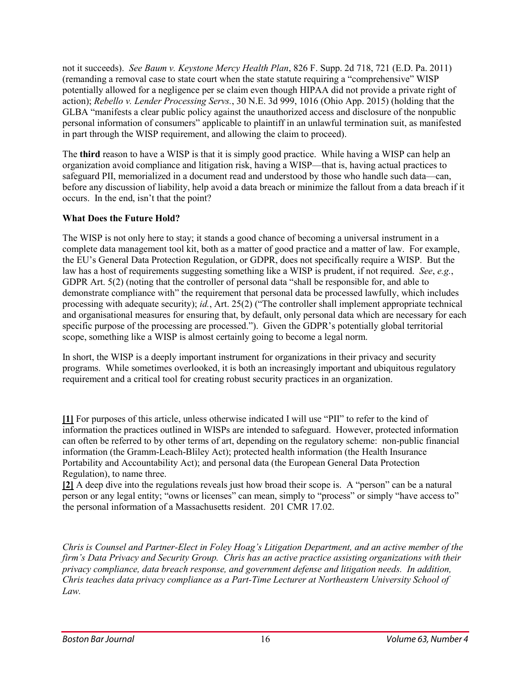not it succeeds). *See Baum v. Keystone Mercy Health Plan*, 826 F. Supp. 2d 718, 721 (E.D. Pa. 2011) (remanding a removal case to state court when the state statute requiring a "comprehensive" WISP potentially allowed for a negligence per se claim even though HIPAA did not provide a private right of action); *Rebello v. Lender Processing Servs.*, 30 N.E. 3d 999, 1016 (Ohio App. 2015) (holding that the GLBA "manifests a clear public policy against the unauthorized access and disclosure of the nonpublic personal information of consumers" applicable to plaintiff in an unlawful termination suit, as manifested in part through the WISP requirement, and allowing the claim to proceed).

The **third** reason to have a WISP is that it is simply good practice. While having a WISP can help an organization avoid compliance and litigation risk, having a WISP—that is, having actual practices to safeguard PII, memorialized in a document read and understood by those who handle such data—can, before any discussion of liability, help avoid a data breach or minimize the fallout from a data breach if it occurs. In the end, isn't that the point?

#### **What Does the Future Hold?**

The WISP is not only here to stay; it stands a good chance of becoming a universal instrument in a complete data management tool kit, both as a matter of good practice and a matter of law. For example, the EU's General Data Protection Regulation, or GDPR, does not specifically require a WISP. But the law has a host of requirements suggesting something like a WISP is prudent, if not required. *See*, *e.g.*, GDPR Art. 5(2) (noting that the controller of personal data "shall be responsible for, and able to demonstrate compliance with" the requirement that personal data be processed lawfully, which includes processing with adequate security); *id.*, Art. 25(2) ("The controller shall implement appropriate technical and organisational measures for ensuring that, by default, only personal data which are necessary for each specific purpose of the processing are processed."). Given the GDPR's potentially global territorial scope, something like a WISP is almost certainly going to become a legal norm.

In short, the WISP is a deeply important instrument for organizations in their privacy and security programs. While sometimes overlooked, it is both an increasingly important and ubiquitous regulatory requirement and a critical tool for creating robust security practices in an organization.

**[\[1\]](https://bostonbarjournal.com/2019/11/14/the-importance-of-written-information-security-policies-in-data-governance/#_ftnref1)** For purposes of this article, unless otherwise indicated I will use "PII" to refer to the kind of information the practices outlined in WISPs are intended to safeguard. However, protected information can often be referred to by other terms of art, depending on the regulatory scheme: non-public financial information (the Gramm-Leach-Bliley Act); protected health information (the Health Insurance Portability and Accountability Act); and personal data (the European General Data Protection Regulation), to name three.

**[\[2\]](https://bostonbarjournal.com/2019/11/14/the-importance-of-written-information-security-policies-in-data-governance/#_ftnref2)** A deep dive into the regulations reveals just how broad their scope is. A "person" can be a natural person or any legal entity; "owns or licenses" can mean, simply to "process" or simply "have access to" the personal information of a Massachusetts resident. 201 CMR 17.02.

*Chris is Counsel and Partner-Elect in Foley Hoag's Litigation Department, and an active member of the firm's Data Privacy and Security Group. Chris has an active practice assisting organizations with their privacy compliance, data breach response, and government defense and litigation needs. In addition, Chris teaches data privacy compliance as a Part-Time Lecturer at Northeastern University School of Law.*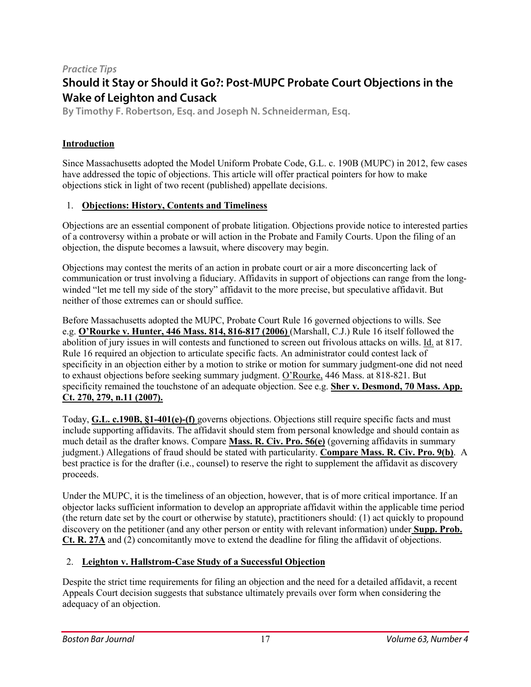## *Practice Tips* **Should it Stay or Should it Go?: Post-MUPC Probate Court Objections in the Wake of Leighton and Cusack**

**By Timothy F. Robertson, Esq. and Joseph N. Schneiderman, Esq.**

## **Introduction**

Since Massachusetts adopted the Model Uniform Probate Code, G.L. c. 190B (MUPC) in 2012, few cases have addressed the topic of objections. This article will offer practical pointers for how to make objections stick in light of two recent (published) appellate decisions.

#### 1. **Objections: History, Contents and Timeliness**

Objections are an essential component of probate litigation. Objections provide notice to interested parties of a controversy within a probate or will action in the Probate and Family Courts. Upon the filing of an objection, the dispute becomes a lawsuit, where discovery may begin.

Objections may contest the merits of an action in probate court or air a more disconcerting lack of communication or trust involving a fiduciary. Affidavits in support of objections can range from the longwinded "let me tell my side of the story" affidavit to the more precise, but speculative affidavit. But neither of those extremes can or should suffice.

Before Massachusetts adopted the MUPC, Probate Court Rule 16 governed objections to wills. See e.g. **[O'Rourke](http://masscases.com/cases/sjc/446/446mass814.html) v. Hunter, 446 Mass. 814, 816-817 (2006)** (Marshall, C.J.) Rule 16 itself followed the abolition of jury issues in will contests and functioned to screen out frivolous attacks on wills. Id. at 817. Rule 16 required an objection to articulate specific facts. An administrator could contest lack of specificity in an objection either by a motion to strike or motion for summary judgment-one did not need to exhaust objections before seeking summary judgment. O'Rourke, 446 Mass. at 818-821. But specificity remained the touchstone of an adequate objection. See e.g. **Sher v. [Desmond,](http://masscases.com/cases/app/70/70massappct270.html#foot11) 70 Mass. App. Ct. 270, 279, n.11 [\(2007\).](http://masscases.com/cases/app/70/70massappct270.html#foot11)**

Today, **G.L. c.190B, [§1-401\(e\)-\(f\)](https://malegislature.gov/Laws/GeneralLaws/PartII/TitleII/Chapter190B/ArticleI/Section1-401)** governs objections. Objections still require specific facts and must include supporting affidavits. The affidavit should stem from personal knowledge and should contain as much detail as the drafter knows. Compare **[Mass.](https://www.mass.gov/rules-of-civil-procedure/civil-procedure-rule-56-summary-judgment) R. Civ. Pro. 56(e)** (governing affidavits in summary judgment.) Allegations of fraud should be stated with particularity. **[Compare](https://www.mass.gov/rules-of-civil-procedure/civil-procedure-rule-9-pleading-special-matters) Mass. R. Civ. Pro. 9(b)**. A best practice is for the drafter (i.e., counsel) to reserve the right to supplement the affidavit as discovery proceeds.

Under the MUPC, it is the timeliness of an objection, however, that is of more critical importance. If an objector lacks sufficient information to develop an appropriate affidavit within the applicable time period (the return date set by the court or otherwise by statute), practitioners should: (1) act quickly to propound discovery on the petitioner (and any other person or entity with relevant information) under **[Supp.](https://www.mass.gov/supplemental-rules-of-the-probate-and-family-court/supplemental-probate-and-family-court-rule-27a) Prob. Ct. R. [27A](https://www.mass.gov/supplemental-rules-of-the-probate-and-family-court/supplemental-probate-and-family-court-rule-27a)** and (2) concomitantly move to extend the deadline for filing the affidavit of objections.

## 2. **Leighton v. Hallstrom-Case Study of a Successful Objection**

Despite the strict time requirements for filing an objection and the need for a detailed affidavit, a recent Appeals Court decision suggests that substance ultimately prevails over form when considering the adequacy of an objection.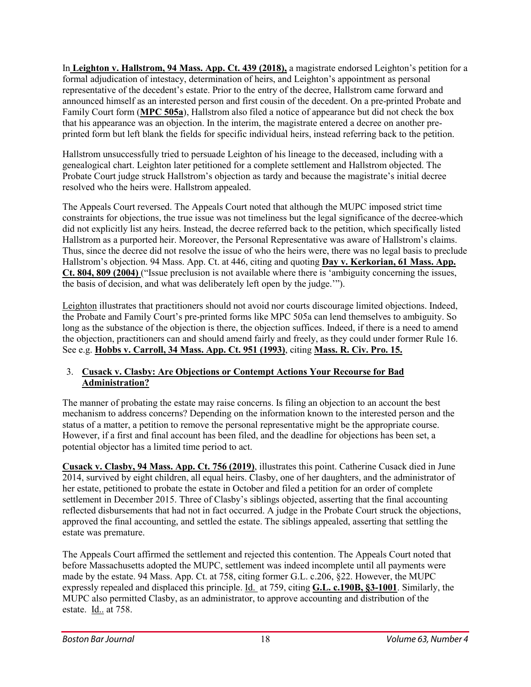In **Leighton v. [Hallstrom,](http://masscases.com/cases/app/94/94massappct439.html) 94 Mass. App. Ct. 439 (2018),** a magistrate endorsed Leighton's petition for a formal adjudication of intestacy, determination of heirs, and Leighton's appointment as personal representative of the decedent's estate. Prior to the entry of the decree, Hallstrom came forward and announced himself as an interested person and first cousin of the decedent. On a pre-printed Probate and Family Court form (**[MPC](https://www.mass.gov/files/documents/2016/08/mp/mpc505a-notice-of-appearance-objection-fill.pdf) 505a**), Hallstrom also filed a notice of appearance but did not check the box that his appearance was an objection. In the interim, the magistrate entered a decree on another preprinted form but left blank the fields for specific individual heirs, instead referring back to the petition.

Hallstrom unsuccessfully tried to persuade Leighton of his lineage to the deceased, including with a genealogical chart. Leighton later petitioned for a complete settlement and Hallstrom objected. The Probate Court judge struck Hallstrom's objection as tardy and because the magistrate's initial decree resolved who the heirs were. Hallstrom appealed.

The Appeals Court reversed. The Appeals Court noted that although the MUPC imposed strict time constraints for objections, the true issue was not timeliness but the legal significance of the decree-which did not explicitly list any heirs. Instead, the decree referred back to the petition, which specifically listed Hallstrom as a purported heir. Moreover, the Personal Representative was aware of Hallstrom's claims. Thus, since the decree did not resolve the issue of who the heirs were, there was no legal basis to preclude Hallstrom's objection. 94 Mass. App. Ct. at 446, citing and quoting **Day v. [Kerkorian,](http://masscases.com/cases/app/61/61massappct804.html) 61 Mass. App. Ct. 804, 809 [\(2004\)](http://masscases.com/cases/app/61/61massappct804.html)** ("Issue preclusion is not available where there is 'ambiguity concerning the issues, the basis of decision, and what was deliberately left open by the judge.'").

Leighton illustrates that practitioners should not avoid nor courts discourage limited objections. Indeed, the Probate and Family Court's pre-printed forms like MPC 505a can lend themselves to ambiguity. So long as the substance of the objection is there, the objection suffices. Indeed, if there is a need to amend the objection, practitioners can and should amend fairly and freely, as they could under former Rule 16. See e.g. **Hobbs v. [Carroll,](http://masscases.com/cases/app/34/34massappct951.html) 34 Mass. App. Ct. 951 (1993)**, citing **[Mass.](https://www.mass.gov/rules-of-civil-procedure/civil-procedure-rule-15-amended-and-supplemental-pleadings) R. Civ. Pro. 15.**

#### 3. **Cusack v. Clasby: Are Objections or Contempt Actions Your Recourse for Bad Administration?**

The manner of probating the estate may raise concerns. Is filing an objection to an account the best mechanism to address concerns? Depending on the information known to the interested person and the status of a matter, a petition to remove the personal representative might be the appropriate course. However, if a first and final account has been filed, and the deadline for objections has been set, a potential objector has a limited time period to act.

**Cusack v. [Clasby,](http://masscases.com/cases/app/94/94massappct756.html) 94 Mass. App. Ct. 756 (2019)**, illustrates this point. Catherine Cusack died in June 2014, survived by eight children, all equal heirs. Clasby, one of her daughters, and the administrator of her estate, petitioned to probate the estate in October and filed a petition for an order of complete settlement in December 2015. Three of Clasby's siblings objected, asserting that the final accounting reflected disbursements that had not in fact occurred. A judge in the Probate Court struck the objections, approved the final accounting, and settled the estate. The siblings appealed, asserting that settling the estate was premature.

The Appeals Court affirmed the settlement and rejected this contention. The Appeals Court noted that before Massachusetts adopted the MUPC, settlement was indeed incomplete until all payments were made by the estate. 94 Mass. App. Ct. at 758, citing former G.L. c.206, §22. However, the MUPC expressly repealed and displaced this principle. Id. at 759, citing **G.L. c.190B, [§3-1001](https://malegislature.gov/Laws/GeneralLaws/PartII/TitleII/Chapter190B/ArticleIII/Section3-1001)**. Similarly, the MUPC also permitted Clasby, as an administrator, to approve accounting and distribution of the estate. Id.. at 758.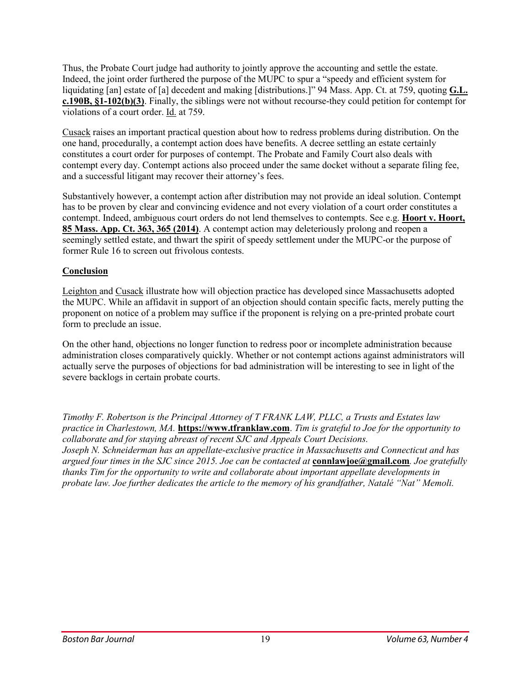Thus, the Probate Court judge had authority to jointly approve the accounting and settle the estate. Indeed, the joint order furthered the purpose of the MUPC to spur a "speedy and efficient system for liquidating [an] estate of [a] decedent and making [distributions.]" 94 Mass. App. Ct. at 759, quoting **[G.L.](https://malegislature.gov/Laws/GeneralLaws/PartII/TitleII/Chapter190B/ArticleI/Section1-102) c.190B, [§1-102\(b\)\(3\)](https://malegislature.gov/Laws/GeneralLaws/PartII/TitleII/Chapter190B/ArticleI/Section1-102)**. Finally, the siblings were not without recourse-they could petition for contempt for violations of a court order. Id. at 759.

Cusack raises an important practical question about how to redress problems during distribution. On the one hand, procedurally, a contempt action does have benefits. A decree settling an estate certainly constitutes a court order for purposes of contempt. The Probate and Family Court also deals with contempt every day. Contempt actions also proceed under the same docket without a separate filing fee, and a successful litigant may recover their attorney's fees.

Substantively however, a contempt action after distribution may not provide an ideal solution. Contempt has to be proven by clear and convincing evidence and not every violation of a court order constitutes a contempt. Indeed, ambiguous court orders do not lend themselves to contempts. See e.g. **Hoort v. [Hoort,](http://masscases.com/cases/app/85/85massappct363.html) 85 Mass. App. Ct. 363, 365 [\(2014\)](http://masscases.com/cases/app/85/85massappct363.html)**. A contempt action may deleteriously prolong and reopen a seemingly settled estate, and thwart the spirit of speedy settlement under the MUPC-or the purpose of former Rule 16 to screen out frivolous contests.

#### **Conclusion**

Leighton and Cusack illustrate how will objection practice has developed since Massachusetts adopted the MUPC. While an affidavit in support of an objection should contain specific facts, merely putting the proponent on notice of a problem may suffice if the proponent is relying on a pre-printed probate court form to preclude an issue.

On the other hand, objections no longer function to redress poor or incomplete administration because administration closes comparatively quickly. Whether or not contempt actions against administrators will actually serve the purposes of objections for bad administration will be interesting to see in light of the severe backlogs in certain probate courts.

*Timothy F. Robertson is the Principal Attorney of T FRANK LAW, PLLC, a Trusts and Estates law practice in Charlestown, MA.* **[https://www.tfranklaw.com](https://www.tfranklaw.com/)**. *Tim is grateful to Joe for the opportunity to collaborate and for staying abreast of recent SJC and Appeals Court Decisions. Joseph N. Schneiderman has an appellate-exclusive practice in Massachusetts and Connecticut and has argued four times in the SJC since 2015. Joe can be contacted at* **[connlawjoe@gmail.com](mailto:connlawjoe@gmail.com)***. Joe gratefully thanks Tim for the opportunity to write and collaborate about important appellate developments in probate law. Joe further dedicates the article to the memory of his grandfather, Natalé "Nat" Memoli.*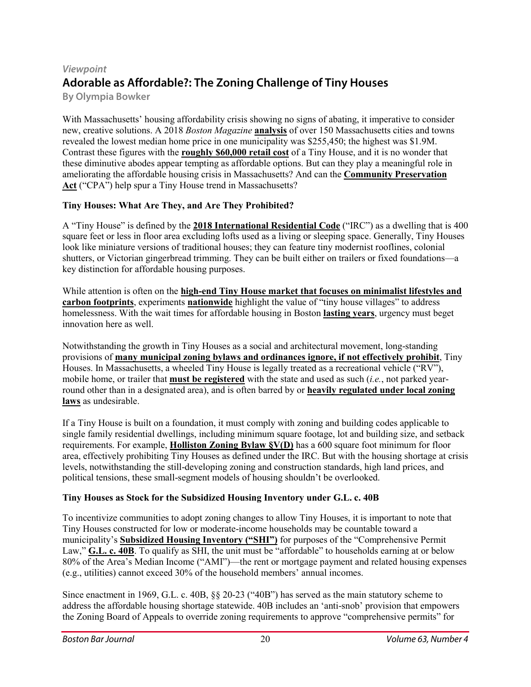# *Viewpoint* **Adorable as Affordable?: The Zoning Challenge of Tiny Houses**

**By Olympia Bowker**

With Massachusetts' housing affordability crisis showing no signs of abating, it imperative to consider new, creative solutions. A 2018 *Boston Magazine* **[analysis](https://www.bostonmagazine.com/top-places-to-live-2018-single-family-homes/)** of over 150 Massachusetts cities and towns revealed the lowest median home price in one municipality was \$255,450; the highest was \$1.9M. Contrast these figures with the **[roughly](https://www.thespruce.com/how-much-does-a-tiny-house-cost-4139914) \$60,000 retail cost** of a Tiny House, and it is no wonder that these diminutive abodes appear tempting as affordable options. But can they play a meaningful role in ameliorating the affordable housing crisis in Massachusetts? And can the **Community [Preservation](https://malegislature.gov/Laws/GeneralLaws/PartI/TitleVII/Chapter44B) [Act](https://malegislature.gov/Laws/GeneralLaws/PartI/TitleVII/Chapter44B)** ("CPA") help spur a Tiny House trend in Massachusetts?

## **Tiny Houses: What Are They, and Are They Prohibited?**

A "Tiny House" is defined by the **2018 [International](https://codes.iccsafe.org/content/IRC2018/appendix-q-tiny-houses?site_type=public) Residential Code** ("IRC") as a dwelling that is 400 square feet or less in floor area excluding lofts used as a living or sleeping space. Generally, Tiny Houses look like miniature versions of traditional houses; they can feature tiny modernist rooflines, colonial shutters, or Victorian gingerbread trimming. They can be built either on trailers or fixed foundations—a key distinction for affordable housing purposes.

While attention is often on the **high-end Tiny House market that focuses on [minimalist](http://mirandashearth.com/tinyhouse/) lifestyles and carbon [footprints](http://mirandashearth.com/tinyhouse/)**, experiments **[nationwide](https://www.washingtonpost.com/graphics/2018/national/tiny-houses/)** highlight the value of "tiny house villages" to address homelessness. With the wait times for affordable housing in Boston **[lasting](https://www.bostonhousing.org/en/For-Applicants/FAQs.aspx) years**, urgency must beget innovation here as well.

Notwithstanding the growth in Tiny Houses as a social and architectural movement, long-standing provisions of **many municipal zoning bylaws and [ordinances](https://www.curbed.com/2016/9/22/13002832/tiny-house-zoning-laws-regulations) ignore, if not effectively prohibit**, Tiny Houses. In Massachusetts, a wheeled Tiny House is legally treated as a recreational vehicle ("RV"), mobile home, or trailer that **must be [registered](https://www.mass.gov/register-and-title-your-vehicle)** with the state and used as such (*i.e.*, not parked yearround other than in a designated area), and is often barred by or **heavily [regulated](https://mcgregorlegere.com/olymipia-bowker-bio-articles/item/41-tiny-houses-face-zoning-obstacles-massachusetts) under local zoning [laws](https://mcgregorlegere.com/olymipia-bowker-bio-articles/item/41-tiny-houses-face-zoning-obstacles-massachusetts)** as undesirable.

If a Tiny House is built on a foundation, it must comply with zoning and building codes applicable to single family residential dwellings, including minimum square footage, lot and building size, and setback requirements. For example, **[Holliston](https://hollistonedc.com/wp-content/uploads/2018/02/October2017Zoning-By-Laws.pdf) Zoning Bylaw §V(D)** has a 600 square foot minimum for floor area, effectively prohibiting Tiny Houses as defined under the IRC. But with the housing shortage at crisis levels, notwithstanding the still-developing zoning and construction standards, high land prices, and political tensions, these small-segment models of housing shouldn't be overlooked.

## **Tiny Houses as Stock for the Subsidized Housing Inventory under G.L. c. 40B**

To incentivize communities to adopt zoning changes to allow Tiny Houses, it is important to note that Tiny Houses constructed for low or moderate-income households may be countable toward a municipality's **[Subsidized](https://www.mass.gov/service-details/subsidized-housing-inventory-shi) Housing Inventory ("SHI")** for purposes of the "Comprehensive Permit Law," **[G.L.](https://malegislature.gov/Laws/GeneralLaws/PartI/TitleVII/Chapter40B) c. 40B**. To qualify as SHI, the unit must be "affordable" to households earning at or below 80% of the Area's Median Income ("AMI")—the rent or mortgage payment and related housing expenses (e.g., utilities) cannot exceed 30% of the household members' annual incomes.

Since enactment in 1969, G.L. c. 40B, §§ 20-23 ("40B") has served as the main statutory scheme to address the affordable housing shortage statewide. 40B includes an 'anti-snob' provision that empowers the Zoning Board of Appeals to override zoning requirements to approve "comprehensive permits" for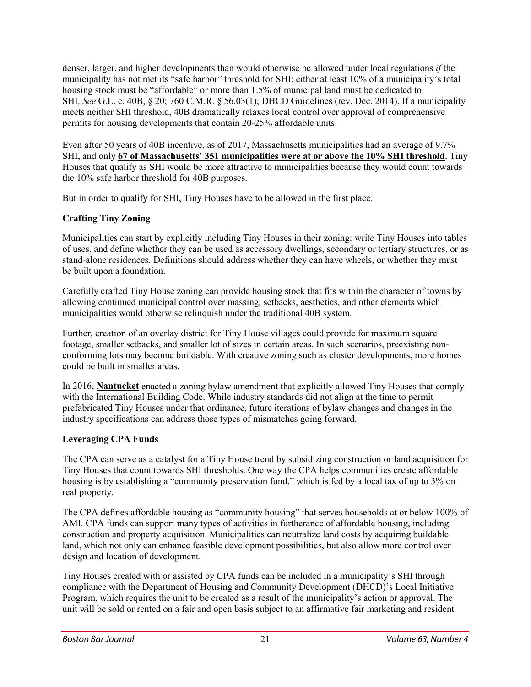denser, larger, and higher developments than would otherwise be allowed under local regulations *if* the municipality has not met its "safe harbor" threshold for SHI: either at least 10% of a municipality's total housing stock must be "affordable" or more than 1.5% of municipal land must be dedicated to SHI. *See* G.L. c. 40B, § 20; 760 C.M.R. § 56.03(1); DHCD Guidelines (rev. Dec. 2014). If a municipality meets neither SHI threshold, 40B dramatically relaxes local control over approval of comprehensive permits for housing developments that contain 20-25% affordable units.

Even after 50 years of 40B incentive, as of 2017, Massachusetts municipalities had an average of 9.7% SHI, and only **67 of [Massachusetts'](https://www.mass.gov/files/documents/2017/10/10/shiinventory_0.pdf) 351 municipalities were at or above the 10% SHI threshold**. Tiny Houses that qualify as SHI would be more attractive to municipalities because they would count towards the 10% safe harbor threshold for 40B purposes.

But in order to qualify for SHI, Tiny Houses have to be allowed in the first place.

## **Crafting Tiny Zoning**

Municipalities can start by explicitly including Tiny Houses in their zoning: write Tiny Houses into tables of uses, and define whether they can be used as accessory dwellings, secondary or tertiary structures, or as stand-alone residences. Definitions should address whether they can have wheels, or whether they must be built upon a foundation.

Carefully crafted Tiny House zoning can provide housing stock that fits within the character of towns by allowing continued municipal control over massing, setbacks, aesthetics, and other elements which municipalities would otherwise relinquish under the traditional 40B system.

Further, creation of an overlay district for Tiny House villages could provide for maximum square footage, smaller setbacks, and smaller lot of sizes in certain areas. In such scenarios, preexisting nonconforming lots may become buildable. With creative zoning such as cluster developments, more homes could be built in smaller areas.

In 2016, **[Nantucket](https://ecode360.com/11471475)** enacted a zoning bylaw amendment that explicitly allowed Tiny Houses that comply with the International Building Code. While industry standards did not align at the time to permit prefabricated Tiny Houses under that ordinance, future iterations of bylaw changes and changes in the industry specifications can address those types of mismatches going forward.

## **Leveraging CPA Funds**

The CPA can serve as a catalyst for a Tiny House trend by subsidizing construction or land acquisition for Tiny Houses that count towards SHI thresholds. One way the CPA helps communities create affordable housing is by establishing a "community preservation fund," which is fed by a local tax of up to 3% on real property.

The CPA defines affordable housing as "community housing" that serves households at or below 100% of AMI. CPA funds can support many types of activities in furtherance of affordable housing, including construction and property acquisition. Municipalities can neutralize land costs by acquiring buildable land, which not only can enhance feasible development possibilities, but also allow more control over design and location of development.

Tiny Houses created with or assisted by CPA funds can be included in a municipality's SHI through compliance with the Department of Housing and Community Development (DHCD)'s Local Initiative Program, which requires the unit to be created as a result of the municipality's action or approval. The unit will be sold or rented on a fair and open basis subject to an affirmative fair marketing and resident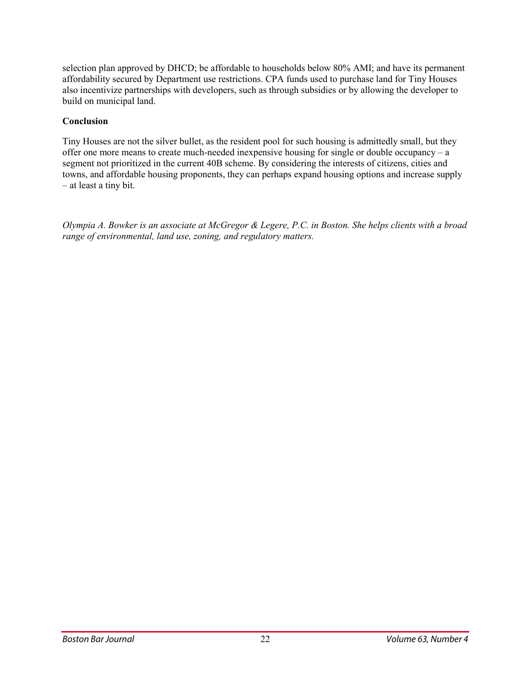selection plan approved by DHCD; be affordable to households below 80% AMI; and have its permanent affordability secured by Department use restrictions. CPA funds used to purchase land for Tiny Houses also incentivize partnerships with developers, such as through subsidies or by allowing the developer to build on municipal land.

#### **Conclusion**

Tiny Houses are not the silver bullet, as the resident pool for such housing is admittedly small, but they offer one more means to create much-needed inexpensive housing for single or double occupancy – a segment not prioritized in the current 40B scheme. By considering the interests of citizens, cities and towns, and affordable housing proponents, they can perhaps expand housing options and increase supply – at least a tiny bit.

Olympia A. Bowker is an associate at McGregor & Legere, P.C. in Boston. She helps clients with a broad *range of environmental, land use, zoning, and regulatory matters.*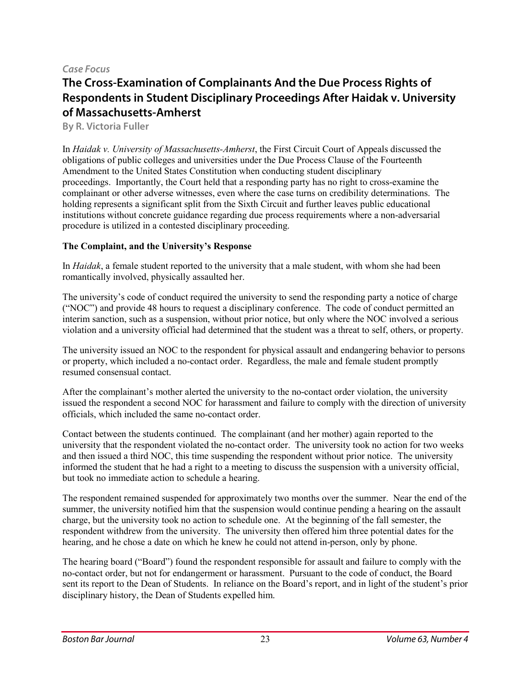#### *Case Focus*

# **The Cross-Examination of Complainants And the Due Process Rights of Respondents in Student Disciplinary Proceedings After Haidak v. University of Massachusetts-Amherst**

**By R. Victoria Fuller**

In *Haidak v. University of Massachusetts-Amherst*, the First Circuit Court of Appeals discussed the obligations of public colleges and universities under the Due Process Clause of the Fourteenth Amendment to the United States Constitution when conducting student disciplinary proceedings. Importantly, the Court held that a responding party has no right to cross-examine the complainant or other adverse witnesses, even where the case turns on credibility determinations. The holding represents a significant split from the Sixth Circuit and further leaves public educational institutions without concrete guidance regarding due process requirements where a non-adversarial procedure is utilized in a contested disciplinary proceeding.

#### **The Complaint, and the University's Response**

In *Haidak*, a female student reported to the university that a male student, with whom she had been romantically involved, physically assaulted her.

The university's code of conduct required the university to send the responding party a notice of charge ("NOC") and provide 48 hours to request a disciplinary conference. The code of conduct permitted an interim sanction, such as a suspension, without prior notice, but only where the NOC involved a serious violation and a university official had determined that the student was a threat to self, others, or property.

The university issued an NOC to the respondent for physical assault and endangering behavior to persons or property, which included a no-contact order. Regardless, the male and female student promptly resumed consensual contact.

After the complainant's mother alerted the university to the no-contact order violation, the university issued the respondent a second NOC for harassment and failure to comply with the direction of university officials, which included the same no-contact order.

Contact between the students continued. The complainant (and her mother) again reported to the university that the respondent violated the no-contact order. The university took no action for two weeks and then issued a third NOC, this time suspending the respondent without prior notice. The university informed the student that he had a right to a meeting to discuss the suspension with a university official, but took no immediate action to schedule a hearing.

The respondent remained suspended for approximately two months over the summer. Near the end of the summer, the university notified him that the suspension would continue pending a hearing on the assault charge, but the university took no action to schedule one. At the beginning of the fall semester, the respondent withdrew from the university. The university then offered him three potential dates for the hearing, and he chose a date on which he knew he could not attend in-person, only by phone.

The hearing board ("Board") found the respondent responsible for assault and failure to comply with the no-contact order, but not for endangerment or harassment. Pursuant to the code of conduct, the Board sent its report to the Dean of Students. In reliance on the Board's report, and in light of the student's prior disciplinary history, the Dean of Students expelled him.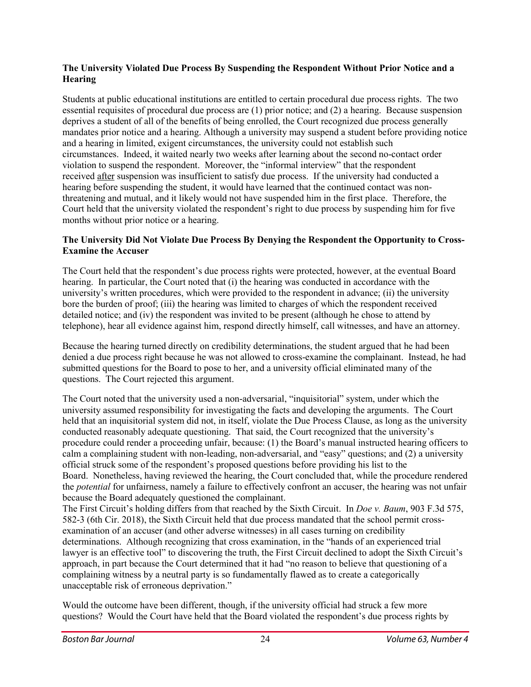#### **The University Violated Due Process By Suspending the Respondent Without Prior Notice and a Hearing**

Students at public educational institutions are entitled to certain procedural due process rights. The two essential requisites of procedural due process are (1) prior notice; and (2) a hearing. Because suspension deprives a student of all of the benefits of being enrolled, the Court recognized due process generally mandates prior notice and a hearing. Although a university may suspend a student before providing notice and a hearing in limited, exigent circumstances, the university could not establish such circumstances. Indeed, it waited nearly two weeks after learning about the second no-contact order violation to suspend the respondent. Moreover, the "informal interview" that the respondent received after suspension was insufficient to satisfy due process. If the university had conducted a hearing before suspending the student, it would have learned that the continued contact was nonthreatening and mutual, and it likely would not have suspended him in the first place. Therefore, the Court held that the university violated the respondent's right to due process by suspending him for five months without prior notice or a hearing.

#### **The University Did Not Violate Due Process By Denying the Respondent the Opportunity to Cross-Examine the Accuser**

The Court held that the respondent's due process rights were protected, however, at the eventual Board hearing. In particular, the Court noted that (i) the hearing was conducted in accordance with the university's written procedures, which were provided to the respondent in advance; (ii) the university bore the burden of proof; (iii) the hearing was limited to charges of which the respondent received detailed notice; and (iv) the respondent was invited to be present (although he chose to attend by telephone), hear all evidence against him, respond directly himself, call witnesses, and have an attorney.

Because the hearing turned directly on credibility determinations, the student argued that he had been denied a due process right because he was not allowed to cross-examine the complainant. Instead, he had submitted questions for the Board to pose to her, and a university official eliminated many of the questions. The Court rejected this argument.

The Court noted that the university used a non-adversarial, "inquisitorial" system, under which the university assumed responsibility for investigating the facts and developing the arguments. The Court held that an inquisitorial system did not, in itself, violate the Due Process Clause, as long as the university conducted reasonably adequate questioning. That said, the Court recognized that the university's procedure could render a proceeding unfair, because: (1) the Board's manual instructed hearing officers to calm a complaining student with non-leading, non-adversarial, and "easy" questions; and (2) a university official struck some of the respondent's proposed questions before providing his list to the Board. Nonetheless, having reviewed the hearing, the Court concluded that, while the procedure rendered the *potential* for unfairness, namely a failure to effectively confront an accuser, the hearing was not unfair because the Board adequately questioned the complainant.

The First Circuit's holding differs from that reached by the Sixth Circuit. In *Doe v. Baum*, 903 F.3d 575, 582-3 (6th Cir. 2018), the Sixth Circuit held that due process mandated that the school permit crossexamination of an accuser (and other adverse witnesses) in all cases turning on credibility determinations. Although recognizing that cross examination, in the "hands of an experienced trial lawyer is an effective tool" to discovering the truth, the First Circuit declined to adopt the Sixth Circuit's approach, in part because the Court determined that it had "no reason to believe that questioning of a complaining witness by a neutral party is so fundamentally flawed as to create a categorically unacceptable risk of erroneous deprivation."

Would the outcome have been different, though, if the university official had struck a few more questions? Would the Court have held that the Board violated the respondent's due process rights by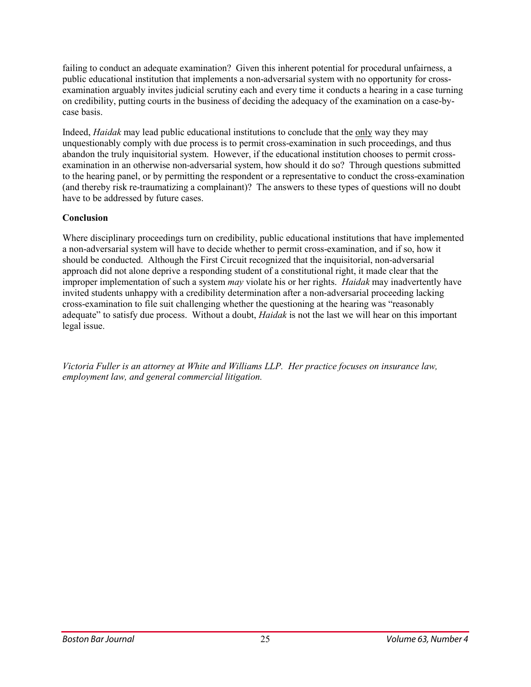failing to conduct an adequate examination? Given this inherent potential for procedural unfairness, a public educational institution that implements a non-adversarial system with no opportunity for crossexamination arguably invites judicial scrutiny each and every time it conducts a hearing in a case turning on credibility, putting courts in the business of deciding the adequacy of the examination on a case-bycase basis.

Indeed, *Haidak* may lead public educational institutions to conclude that the only way they may unquestionably comply with due process is to permit cross-examination in such proceedings, and thus abandon the truly inquisitorial system. However, if the educational institution chooses to permit crossexamination in an otherwise non-adversarial system, how should it do so? Through questions submitted to the hearing panel, or by permitting the respondent or a representative to conduct the cross-examination (and thereby risk re-traumatizing a complainant)? The answers to these types of questions will no doubt have to be addressed by future cases.

#### **Conclusion**

Where disciplinary proceedings turn on credibility, public educational institutions that have implemented a non-adversarial system will have to decide whether to permit cross-examination, and if so, how it should be conducted. Although the First Circuit recognized that the inquisitorial, non-adversarial approach did not alone deprive a responding student of a constitutional right, it made clear that the improper implementation of such a system *may* violate his or her rights. *Haidak* may inadvertently have invited students unhappy with a credibility determination after a non-adversarial proceeding lacking cross-examination to file suit challenging whether the questioning at the hearing was "reasonably adequate" to satisfy due process. Without a doubt, *Haidak* is not the last we will hear on this important legal issue.

*Victoria Fuller is an attorney at White and Williams LLP. Her practice focuses on insurance law, employment law, and general commercial litigation.*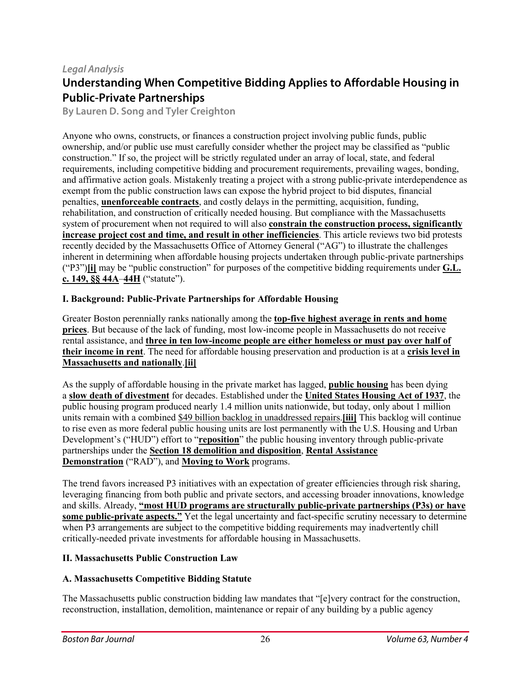## *Legal Analysis*

# **Understanding When Competitive Bidding Applies to Affordable Housing in Public-Private Partnerships**

**By Lauren D. Song and Tyler Creighton**

Anyone who owns, constructs, or finances a construction project involving public funds, public ownership, and/or public use must carefully consider whether the project may be classified as "public construction." If so, the project will be strictly regulated under an array of local, state, and federal requirements, including competitive bidding and procurement requirements, prevailing wages, bonding, and affirmative action goals. Mistakenly treating a project with a strong public-private interdependence as exempt from the public construction laws can expose the hybrid project to bid disputes, financial penalties, **[unenforceable](http://masscases.com/cases/sjc/397/397mass1002.html) contracts**, and costly delays in the permitting, acquisition, funding, rehabilitation, and construction of critically needed housing. But compliance with the Massachusetts system of procurement when not required to will also **constrain the [construction](https://archive.org/stream/publicconstructi00mass/publicconstructi00mass_djvu.txt) process, significantly increase project cost and time, and result in other [inefficiencies](https://archive.org/stream/publicconstructi00mass/publicconstructi00mass_djvu.txt)**. This article reviews two bid protests recently decided by the Massachusetts Office of Attorney General ("AG") to illustrate the challenges inherent in determining when affordable housing projects undertaken through public-private partnerships ("P3")**[\[i\]](https://bostonbarjournal.com/2019/11/14/understanding-when-competitive-bidding-applies-to-affordable-housing-in-public-private-partnerships/#_edn1)** may be "public construction" for purposes of the competitive bidding requirements under **[G.L.](https://malegislature.gov/Laws/GeneralLaws/PartI/TitleXXI/Chapter149/Section44A) c. [149,](https://malegislature.gov/Laws/GeneralLaws/PartI/TitleXXI/Chapter149/Section44A) §§ 44A**–**[44H](https://malegislature.gov/Laws/GeneralLaws/PartI/TitleXXI/Chapter149/Section44H)** ("statute").

#### **I. Background: Public-Private Partnerships for Affordable Housing**

Greater Boston perennially ranks nationally among the **top-five highest [average](https://www.tbf.org/-/media/tbf/reports-and-covers/2019/gbhrc-chapters/gbhrc19-chapter-1--core-metrics.pdf) in rents and home [prices](https://www.tbf.org/-/media/tbf/reports-and-covers/2019/gbhrc-chapters/gbhrc19-chapter-1--core-metrics.pdf)**. But because of the lack of funding, most low-income people in Massachusetts do not receive rental assistance, and **three in ten [low-income](https://www.cbpp.org/research/housing/federal-rental-assistance-fact-sheets#MA) people are either homeless or must pay over half of their [income](https://www.cbpp.org/research/housing/federal-rental-assistance-fact-sheets#MA) in rent**. The need for affordable housing preservation and production is at a **[crisis](https://reports.nlihc.org/sites/default/files/gap/Gap-Report_2018.pdf) level in [Massachusetts](https://reports.nlihc.org/sites/default/files/gap/Gap-Report_2018.pdf) and nationally**.**[\[ii\]](https://bostonbarjournal.com/2019/11/14/understanding-when-competitive-bidding-applies-to-affordable-housing-in-public-private-partnerships/#_edn2)**

As the supply of affordable housing in the private market has lagged, **public [housing](https://www.hud.gov/program_offices/public_indian_housing/programs/ph)** has been dying a **slow death of [divestment](https://www.cbpp.org/public-housing-funding-has-fallen-far-behind-need)** for decades. Established under the **United States [Housing](https://www.law.cornell.edu/uscode/text/42/1437) Act of 1937**, the public housing program produced nearly 1.4 million units nationwide, but today, only about 1 million units remain with a combined \$49 billion backlog in unaddressed repairs.**[\[iii\]](https://bostonbarjournal.com/2019/11/14/understanding-when-competitive-bidding-applies-to-affordable-housing-in-public-private-partnerships/#_edn3)** This backlog will continue to rise even as more federal public housing units are lost permanently with the U.S. Housing and Urban Development's ("HUD") effort to "**[reposition](https://content.govdelivery.com/accounts/USHUDPIH/bulletins/21b4342)**" the public housing inventory through public-private partnerships under the **Section 18 demolition and [disposition](https://www.nhlp.org/resource-center/public-housing/demolition-and-disposition/)**, **Rental [Assistance](https://www.nhlp.org/initiatives/saving-affordable-homes/rental-assistance-demonstration-rad/) [Demonstration](https://www.nhlp.org/initiatives/saving-affordable-homes/rental-assistance-demonstration-rad/)** ("RAD"), and **[Moving](https://www.nhlp.org/resources/mtw/) to Work** programs.

The trend favors increased P3 initiatives with an expectation of greater efficiencies through risk sharing, leveraging financing from both public and private sectors, and accessing broader innovations, knowledge and skills. Already, **"most HUD programs are structurally [public-private](https://www.huduser.gov/hud50th/HUD2-048-Public-Private_Partnership_508.pdf) partnerships (P3s) or have some [public-private](https://www.huduser.gov/hud50th/HUD2-048-Public-Private_Partnership_508.pdf) aspects."** Yet the legal uncertainty and fact-specific scrutiny necessary to determine when P3 arrangements are subject to the competitive bidding requirements may inadvertently chill critically-needed private investments for affordable housing in Massachusetts.

#### **II. Massachusetts Public Construction Law**

#### **A. Massachusetts Competitive Bidding Statute**

The Massachusetts public construction bidding law mandates that "[e]very contract for the construction, reconstruction, installation, demolition, maintenance or repair of any building by a public agency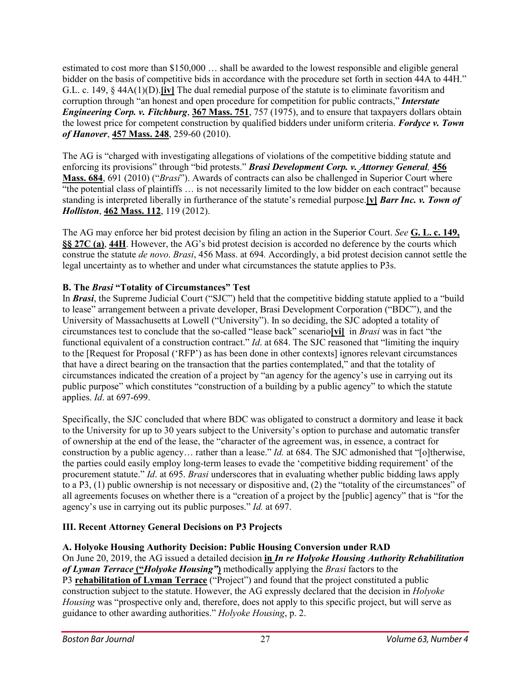estimated to cost more than \$150,000 … shall be awarded to the lowest responsible and eligible general bidder on the basis of competitive bids in accordance with the procedure set forth in section 44A to 44H." G.L. c. 149, § 44A(1)(D).**[\[iv\]](https://bostonbarjournal.com/2019/11/14/understanding-when-competitive-bidding-applies-to-affordable-housing-in-public-private-partnerships/#_edn4)** The dual remedial purpose of the statute is to eliminate favoritism and corruption through "an honest and open procedure for competition for public contracts," *[Interstate](http://masscases.com/cases/sjc/367/367mass751.html) [Engineering](http://masscases.com/cases/sjc/367/367mass751.html) Corp. v. Fitchburg*, **367 [Mass.](http://masscases.com/cases/sjc/367/367mass751.html) 751**, 757 (1975), and to ensure that taxpayers dollars obtain the lowest price for competent construction by qualified bidders under uniform criteria. *[Fordyce](http://masscases.com/cases/sjc/457/457mass248.html) v. Town of [Hanover](http://masscases.com/cases/sjc/457/457mass248.html)*, **457 [Mass.](http://masscases.com/cases/sjc/457/457mass248.html) 248**, 259-60 (2010).

The AG is "charged with investigating allegations of violations of the competitive bidding statute and enforcing its provisions" through "bid protests." *Brasi [Development](http://masscases.com/cases/sjc/456/456mass684.html) Corp. v. Attorney General,* **[456](http://masscases.com/cases/sjc/456/456mass684.html) [Mass.](http://masscases.com/cases/sjc/456/456mass684.html) 684**, 691 (2010) ("*Brasi*"). Awards of contracts can also be challenged in Superior Court where "the potential class of plaintiffs ... is not necessarily limited to the low bidder on each contract" because standing is interpreted liberally in furtherance of the statute's remedial purpose.**[\[v\]](https://bostonbarjournal.com/2019/11/14/understanding-when-competitive-bidding-applies-to-affordable-housing-in-public-private-partnerships/#_edn5)** *Barr Inc. v. [Town](http://masscases.com/cases/sjc/462/462mass112.html) of [Holliston](http://masscases.com/cases/sjc/462/462mass112.html)*, **462 [Mass.](http://masscases.com/cases/sjc/462/462mass112.html) 112**, 119 (2012).

The AG may enforce her bid protest decision by filing an action in the Superior Court. *See* **G. L. c. [149,](https://malegislature.gov/Laws/GeneralLaws/PartI/TitleXXI/Chapter149/Section27C) §§ [27C](https://malegislature.gov/Laws/GeneralLaws/PartI/TitleXXI/Chapter149/Section27C) (a)**, **[44H](https://malegislature.gov/Laws/GeneralLaws/PartI/TitleXXI/Chapter149/Section44H)**. However, the AG's bid protest decision is accorded no deference by the courts which construe the statute *de novo*. *Brasi*, 456 Mass. at 694*.* Accordingly, a bid protest decision cannot settle the legal uncertainty as to whether and under what circumstances the statute applies to P3s.

#### **B. The** *Brasi* **"Totality of Circumstances" Test**

In *[Brasi](http://masscases.com/cases/sjc/456/456mass684.html)*, the Supreme Judicial Court ("SJC") held that the competitive bidding statute applied to a "build to lease" arrangement between a private developer, Brasi Development Corporation ("BDC"), and the University of Massachusetts at Lowell ("University"). In so deciding, the SJC adopted a totality of circumstances test to conclude that the so-called "lease back" scenario**[\[vi\]](https://bostonbarjournal.com/2019/11/14/understanding-when-competitive-bidding-applies-to-affordable-housing-in-public-private-partnerships/#_edn6)** in *Brasi* was in fact "the functional equivalent of a construction contract." *Id.* at 684. The SJC reasoned that "limiting the inquiry to the [Request for Proposal ('RFP') as has been done in other contexts] ignores relevant circumstances that have a direct bearing on the transaction that the parties contemplated," and that the totality of circumstances indicated the creation of a project by "an agency for the agency's use in carrying out its public purpose" which constitutes "construction of a building by a public agency" to which the statute applies. *Id*. at 697-699.

Specifically, the SJC concluded that where BDC was obligated to construct a dormitory and lease it back to the University for up to 30 years subject to the University's option to purchase and automatic transfer of ownership at the end of the lease, the "character of the agreement was, in essence, a contract for construction by a public agency… rather than a lease." *Id.* at 684. The SJC admonished that "[o]therwise, the parties could easily employ long-term leases to evade the 'competitive bidding requirement' of the procurement statute." *Id*. at 695. *Brasi* underscores that in evaluating whether public bidding laws apply to a P3, (1) public ownership is not necessary or dispositive and, (2) the "totality of the circumstances" of all agreements focuses on whether there is a "creation of a project by the [public] agency" that is "for the agency's use in carrying out its public purposes." *Id.* at 697.

## **III. Recent Attorney General Decisions on P3 Projects**

#### **A. Holyoke Housing Authority Decision: Public Housing Conversion under [RAD](https://www.nhlp.org/initiatives/saving-affordable-homes/rental-assistance-demonstration-rad/)**

On June 20, 2019, the AG issued a detailed decision **in** *In re Holyoke Housing Authority [Rehabilitation](http://www.bpd.ago.state.ma.us/) of Lyman Terrace* **("***Holyoke [Housing"](http://www.bpd.ago.state.ma.us/)***)** methodically applying the *Brasi* factors to the

P3 **[rehabilitation](https://holyokeredevelopment.com/lyman-terrace) of Lyman Terrace** ("Project") and found that the project constituted a public construction subject to the statute. However, the AG expressly declared that the decision in *Holyoke Housing* was "prospective only and, therefore, does not apply to this specific project, but will serve as guidance to other awarding authorities." *Holyoke Housing*, p. 2.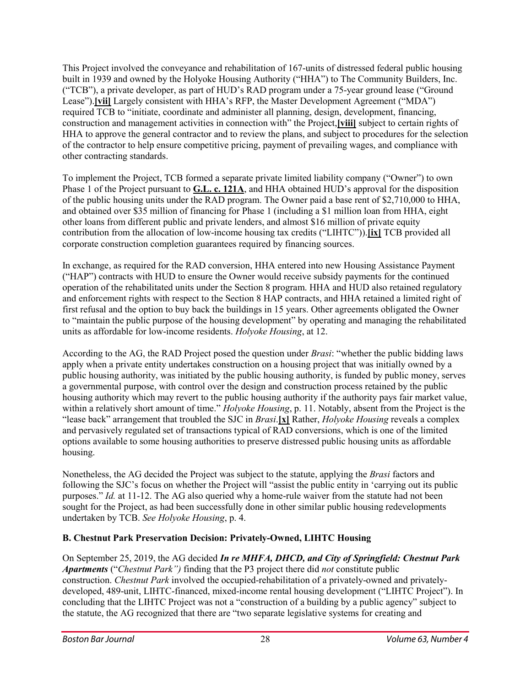This Project involved the conveyance and rehabilitation of 167-units of distressed federal public housing built in 1939 and owned by the Holyoke Housing Authority ("HHA") to The Community Builders, Inc. ("TCB"), a private developer, as part of HUD's RAD program under a 75-year ground lease ("Ground Lease").**[\[vii\]](https://bostonbarjournal.com/2019/11/14/understanding-when-competitive-bidding-applies-to-affordable-housing-in-public-private-partnerships/#_edn7)** Largely consistent with HHA's RFP, the Master Development Agreement ("MDA") required TCB to "initiate, coordinate and administer all planning, design, development, financing, construction and management activities in connection with" the Project,**[\[viii\]](https://bostonbarjournal.com/2019/11/14/understanding-when-competitive-bidding-applies-to-affordable-housing-in-public-private-partnerships/#_edn8)** subject to certain rights of HHA to approve the general contractor and to review the plans, and subject to procedures for the selection of the contractor to help ensure competitive pricing, payment of prevailing wages, and compliance with other contracting standards.

To implement the Project, TCB formed a separate private limited liability company ("Owner") to own Phase 1 of the Project pursuant to **G.L. c. [121A](https://malegislature.gov/Laws/GeneralLaws/PartI/TitleXVII/Chapter121A)**, and HHA obtained HUD's approval for the disposition of the public housing units under the RAD program. The Owner paid a base rent of \$2,710,000 to HHA, and obtained over \$35 million of financing for Phase 1 (including a \$1 million loan from HHA, eight other loans from different public and private lenders, and almost \$16 million of private equity contribution from the allocation of low-income housing tax credits ("LIHTC")).**[\[ix\]](https://bostonbarjournal.com/2019/11/14/understanding-when-competitive-bidding-applies-to-affordable-housing-in-public-private-partnerships/#_edn9)** TCB provided all corporate construction completion guarantees required by financing sources.

In exchange, as required for the RAD conversion, HHA entered into new Housing Assistance Payment ("HAP") contracts with HUD to ensure the Owner would receive subsidy payments for the continued operation of the rehabilitated units under the Section 8 program. HHA and HUD also retained regulatory and enforcement rights with respect to the Section 8 HAP contracts, and HHA retained a limited right of first refusal and the option to buy back the buildings in 15 years. Other agreements obligated the Owner to "maintain the public purpose of the housing development" by operating and managing the rehabilitated units as affordable for low-income residents. *Holyoke Housing*, at 12.

According to the AG, the RAD Project posed the question under *Brasi*: "whether the public bidding laws apply when a private entity undertakes construction on a housing project that was initially owned by a public housing authority, was initiated by the public housing authority, is funded by public money, serves a governmental purpose, with control over the design and construction process retained by the public housing authority which may revert to the public housing authority if the authority pays fair market value, within a relatively short amount of time." *Holyoke Housing*, p. 11. Notably, absent from the Project is the "lease back" arrangement that troubled the SJC in *Brasi*.**[\[x\]](https://bostonbarjournal.com/2019/11/14/understanding-when-competitive-bidding-applies-to-affordable-housing-in-public-private-partnerships/#_edn10)** Rather, *Holyoke Housing* reveals a complex and pervasively regulated set of transactions typical of RAD conversions, which is one of the limited options available to some housing authorities to preserve distressed public housing units as affordable housing.

Nonetheless, the AG decided the Project was subject to the statute, applying the *Brasi* factors and following the SJC's focus on whether the Project will "assist the public entity in 'carrying out its public purposes." *Id.* at 11-12. The AG also queried why a home-rule waiver from the statute had not been sought for the Project, as had been successfully done in other similar public housing redevelopments undertaken by TCB. *See Holyoke Housing*, p. 4.

## **B. Chestnut Park Preservation Decision: Privately-Owned, LIHTC Housing**

On September 25, 2019, the AG decided *In re MHFA, DHCD, and City of [Springfield:](http://www.bpd.ago.state.ma.us/) Chestnut Park [Apartments](http://www.bpd.ago.state.ma.us/)* ("*Chestnut Park")* finding that the P3 project there did *not* constitute public construction. *Chestnut Park* involved the occupied-rehabilitation of a privately-owned and privatelydeveloped, 489-unit, LIHTC-financed, mixed-income rental housing development ("LIHTC Project"). In concluding that the LIHTC Project was not a "construction of a building by a public agency" subject to the statute, the AG recognized that there are "two separate legislative systems for creating and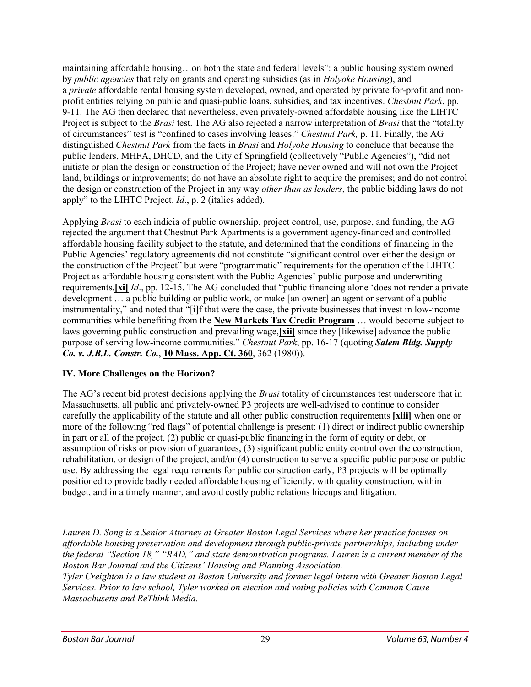maintaining affordable housing…on both the state and federal levels": a public housing system owned by *public agencies* that rely on grants and operating subsidies (as in *Holyoke Housing*), and a *private* affordable rental housing system developed, owned, and operated by private for-profit and nonprofit entities relying on public and quasi-public loans, subsidies, and tax incentives. *Chestnut Park*, pp. 9-11. The AG then declared that nevertheless, even privately-owned affordable housing like the LIHTC Project is subject to the *Brasi* test. The AG also rejected a narrow interpretation of *Brasi* that the "totality of circumstances" test is "confined to cases involving leases." *Chestnut Park,* p. 11. Finally, the AG distinguished *Chestnut Park* from the facts in *Brasi* and *Holyoke Housing* to conclude that because the public lenders, MHFA, DHCD, and the City of Springfield (collectively "Public Agencies"), "did not initiate or plan the design or construction of the Project; have never owned and will not own the Project land, buildings or improvements; do not have an absolute right to acquire the premises; and do not control the design or construction of the Project in any way *other than as lenders*, the public bidding laws do not apply" to the LIHTC Project. *Id*., p. 2 (italics added).

Applying *Brasi* to each indicia of public ownership, project control, use, purpose, and funding, the AG rejected the argument that Chestnut Park Apartments is a government agency-financed and controlled affordable housing facility subject to the statute, and determined that the conditions of financing in the Public Agencies' regulatory agreements did not constitute "significant control over either the design or the construction of the Project" but were "programmatic" requirements for the operation of the LIHTC Project as affordable housing consistent with the Public Agencies' public purpose and underwriting requirements.**[\[xi\]](https://bostonbarjournal.com/2019/11/14/understanding-when-competitive-bidding-applies-to-affordable-housing-in-public-private-partnerships/#_edn11)** *Id*., pp. 12-15. The AG concluded that "public financing alone 'does not render a private development … a public building or public work, or make [an owner] an agent or servant of a public instrumentality," and noted that "[i]f that were the case, the private businesses that invest in low-income communities while benefiting from the **New Markets Tax Credit [Program](https://www.law.cornell.edu/uscode/text/26/45D)** … would become subject to laws governing public construction and prevailing wage,**[\[xii\]](https://bostonbarjournal.com/2019/11/14/understanding-when-competitive-bidding-applies-to-affordable-housing-in-public-private-partnerships/#_edn12)** since they [likewise] advance the public purpose of serving low-income communities." *Chestnut Park*, pp. 16-17 (quoting *Salem Bldg. [Supply](http://masscases.com/cases/app/10/10massappct360.html) Co. v. J.B.L. [Constr.](http://masscases.com/cases/app/10/10massappct360.html) Co.*, **10 [Mass.](http://masscases.com/cases/app/10/10massappct360.html) App. Ct. 360**, 362 (1980)).

#### **IV. More Challenges on the Horizon?**

The AG's recent bid protest decisions applying the *Brasi* totality of circumstances test underscore that in Massachusetts, all public and privately-owned P3 projects are well-advised to continue to consider carefully the applicability of the statute and all other public construction requirements **[\[xiii\]](https://bostonbarjournal.com/2019/11/14/understanding-when-competitive-bidding-applies-to-affordable-housing-in-public-private-partnerships/#_edn13)** when one or more of the following "red flags" of potential challenge is present: (1) direct or indirect public ownership in part or all of the project, (2) public or quasi-public financing in the form of equity or debt, or assumption of risks or provision of guarantees, (3) significant public entity control over the construction, rehabilitation, or design of the project, and/or (4) construction to serve a specific public purpose or public use. By addressing the legal requirements for public construction early, P3 projects will be optimally positioned to provide badly needed affordable housing efficiently, with quality construction, within budget, and in a timely manner, and avoid costly public relations hiccups and litigation.

*Lauren D. Song is a Senior Attorney at Greater Boston Legal Services where her practice focuses on affordable housing preservation and development through public-private partnerships, including under the federal "Section 18," "RAD," and state demonstration programs. Lauren is a current member of the Boston Bar Journal and the Citizens' Housing and Planning Association.*

*Tyler Creighton is a law student at Boston University and former legal intern with Greater Boston Legal Services. Prior to law school, Tyler worked on election and voting policies with Common Cause Massachusetts and ReThink Media.*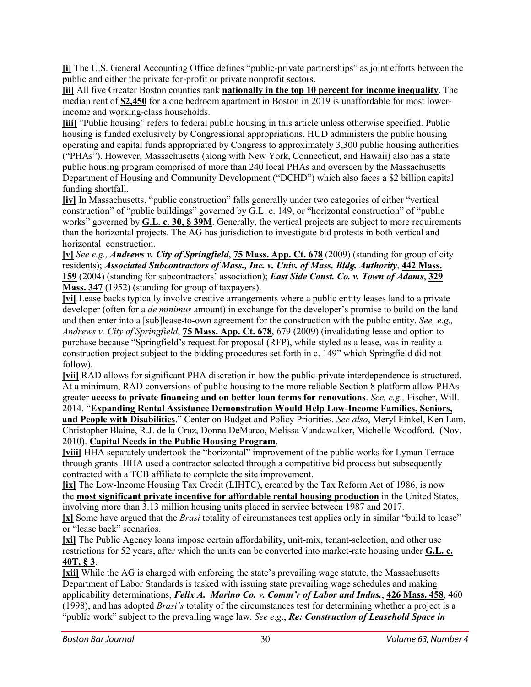**[\[i\]](https://bostonbarjournal.com/2019/11/14/understanding-when-competitive-bidding-applies-to-affordable-housing-in-public-private-partnerships/#_ednref1)** The U.S. General Accounting Office defines "public-private partnerships" as joint efforts between the public and either the private for-profit or private nonprofit sectors.

**[\[ii\]](https://bostonbarjournal.com/2019/11/14/understanding-when-competitive-bidding-applies-to-affordable-housing-in-public-private-partnerships/#_ednref2)** All five Greater Boston counties rank **[nationally](https://www.tbf.org/-/media/tbf/reports-and-covers/2019/gbhrc-chapters/gbhrc19-chapter-1--core-metrics.pdf) in the top 10 percent for income inequality**. The median rent of **[\\$2,450](https://www.fortunebuilders.com/top-10-u-s-cities-with-the-highest-rents/)** for a one bedroom apartment in Boston in 2019 is unaffordable for most lowerincome and working-class households.

**[\[iii\]](https://bostonbarjournal.com/2019/11/14/understanding-when-competitive-bidding-applies-to-affordable-housing-in-public-private-partnerships/#_ednref3)** "Public housing" refers to federal public housing in this article unless otherwise specified. Public housing is funded exclusively by Congressional appropriations. HUD administers the public housing operating and capital funds appropriated by Congress to approximately 3,300 public housing authorities ("PHAs"). However, Massachusetts (along with New York, Connecticut, and Hawaii) also has a state public housing program comprised of more than 240 local PHAs and overseen by the Massachusetts Department of Housing and Community Development ("DCHD") which also faces a \$2 billion capital funding shortfall.

**[\[iv\]](https://bostonbarjournal.com/2019/11/14/understanding-when-competitive-bidding-applies-to-affordable-housing-in-public-private-partnerships/#_ednref4)** In Massachusetts, "public construction" falls generally under two categories of either "vertical construction" of "public buildings" governed by G.L. c. 149, or "horizontal construction" of "public works" governed by **[G.L.](https://malegislature.gov/laws/generallaws/parti/titleiii/chapter30/section39m) c. 30, § 39M**. Generally, the vertical projects are subject to more requirements than the horizontal projects. The AG has jurisdiction to investigate bid protests in both vertical and horizontal construction.

**[\[v\]](https://bostonbarjournal.com/2019/11/14/understanding-when-competitive-bidding-applies-to-affordable-housing-in-public-private-partnerships/#_ednref5)** *See e.g., Andrews v. City of [Springfield](http://masscases.com/cases/app/75/75massappct678.html)*, **75 [Mass.](http://masscases.com/cases/app/75/75massappct678.html) App. Ct. 678** (2009) (standing for group of city residents); *Associated [Subcontractors](http://masscases.com/cases/sjc/442/442mass159.html) of Mass., Inc. v. Univ. of Mass. Bldg. Authority*, **442 [Mass.](http://masscases.com/cases/sjc/442/442mass159.html) [159](http://masscases.com/cases/sjc/442/442mass159.html)** (2004) (standing for subcontractors' association); *East Side Const. Co. v. Town of [Adams](http://masscases.com/cases/sjc/329/329mass347.html)*, **[329](http://masscases.com/cases/sjc/329/329mass347.html) [Mass.](http://masscases.com/cases/sjc/329/329mass347.html) 347** (1952) (standing for group of taxpayers).

**[\[vi\]](https://bostonbarjournal.com/2019/11/14/understanding-when-competitive-bidding-applies-to-affordable-housing-in-public-private-partnerships/#_ednref6)** Lease backs typically involve creative arrangements where a public entity leases land to a private developer (often for a *de minimus* amount) in exchange for the developer's promise to build on the land and then enter into a [sub]lease-to-own agreement for the construction with the public entity. *See, e.g., Andrews v. City of Springfield*, **75 [Mass.](http://masscases.com/cases/app/75/75massappct678.html) App. Ct. 678**, 679 (2009) (invalidating lease and option to purchase because "Springfield's request for proposal (RFP), while styled as a lease, was in reality a construction project subject to the bidding procedures set forth in c. 149" which Springfield did not follow).

**[\[vii\]](https://bostonbarjournal.com/2019/11/14/understanding-when-competitive-bidding-applies-to-affordable-housing-in-public-private-partnerships/#_ednref7)** RAD allows for significant PHA discretion in how the public-private interdependence is structured. At a minimum, RAD conversions of public housing to the more reliable Section 8 platform allow PHAs greater **access to private financing and on better loan terms for renovations**. *See, e.g.,* Fischer, Will.

2014. "**Expanding Rental Assistance [Demonstration](http://www.cbpp.org/research/expanding-rentalassistance-demonstration-would-help-low-income-families-seniors-and-people) Would Help Low-Income Families, Seniors, and People with [Disabilities](http://www.cbpp.org/research/expanding-rentalassistance-demonstration-would-help-low-income-families-seniors-and-people)**." Center on Budget and Policy Priorities. *See also*, Meryl Finkel, Ken Lam, Christopher Blaine, R.J. de la Cruz, Donna DeMarco, Melissa Vandawalker, Michelle Woodford. (Nov. 2010). **Capital Needs in the Public Housing [Program](https://www.hud.gov/sites/documents/PH_CAPITAL_NEEDS.PDF)**.

**[\[viii\]](https://bostonbarjournal.com/2019/11/14/understanding-when-competitive-bidding-applies-to-affordable-housing-in-public-private-partnerships/#_ednref8)** HHA separately undertook the "horizontal" improvement of the public works for Lyman Terrace through grants. HHA used a contractor selected through a competitive bid process but subsequently contracted with a TCB affiliate to complete the site improvement.

**[\[ix\]](https://bostonbarjournal.com/2019/11/14/understanding-when-competitive-bidding-applies-to-affordable-housing-in-public-private-partnerships/#_ednref9)** The Low-Income Housing Tax Credit (LIHTC), created by the Tax Reform Act of 1986, is now the **most significant private incentive for affordable rental housing [production](https://www.huduser.gov/portal/datasets/lihtc.html)** in the United States, involving more than 3.13 million housing units placed in service between 1987 and 2017.

**[\[x\]](https://bostonbarjournal.com/2019/11/14/understanding-when-competitive-bidding-applies-to-affordable-housing-in-public-private-partnerships/#_ednref10)** Some have argued that the *Brasi* totality of circumstances test applies only in similar "build to lease" or "lease back" scenarios.

**[\[xi\]](https://bostonbarjournal.com/2019/11/14/understanding-when-competitive-bidding-applies-to-affordable-housing-in-public-private-partnerships/#_ednref11)** The Public Agency loans impose certain affordability, unit-mix, tenant-selection, and other use restrictions for 52 years, after which the units can be converted into market-rate housing under **[G.L.](https://malegislature.gov/Laws/GeneralLaws/PartI/TitleVII/Chapter40T/Section3) c. [40T,](https://malegislature.gov/Laws/GeneralLaws/PartI/TitleVII/Chapter40T/Section3) § 3**.

**[\[xii\]](https://bostonbarjournal.com/2019/11/14/understanding-when-competitive-bidding-applies-to-affordable-housing-in-public-private-partnerships/#_ednref12)** While the AG is charged with enforcing the state's prevailing wage statute, the Massachusetts Department of Labor Standards is tasked with issuing state prevailing wage schedules and making applicability determinations, *Felix A. Marino Co. v. [Comm'r](http://masscases.com/cases/sjc/426/426mass458.html) of Labor and Indus.*, **426 [Mass.](http://masscases.com/cases/sjc/426/426mass458.html) 458**, 460 (1998), and has adopted *Brasi's* totality of the circumstances test for determining whether a project is a "public work" subject to the prevailing wage law. *See e.g*., *Re: [Construction](https://www.mass.gov/files/documents/2017/10/30/PW-opinion-02-22-12.pdf) of Leasehold Space in*